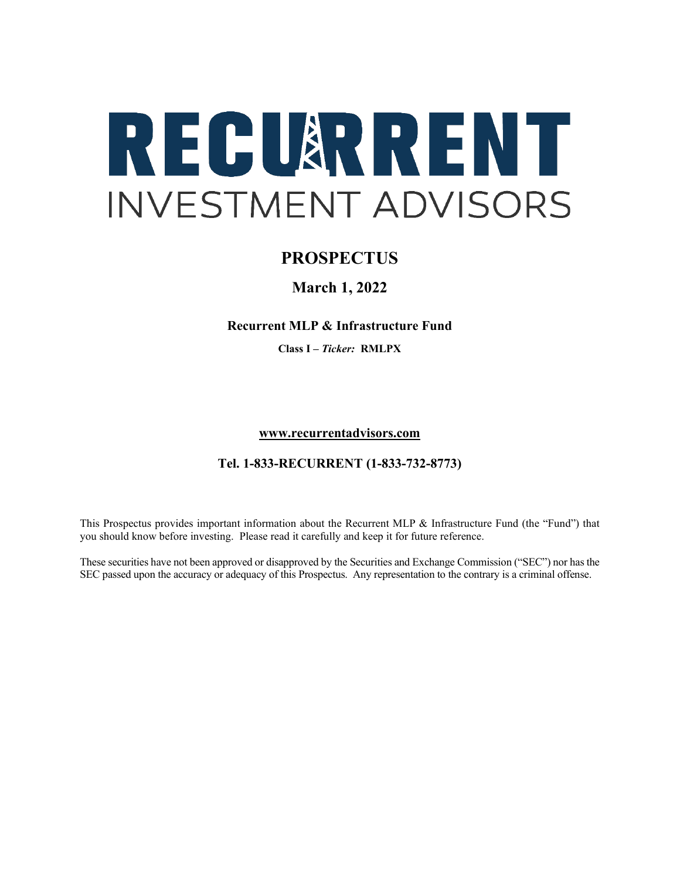

# **PROSPECTUS**

# **March 1, 2022**

### **Recurrent MLP & Infrastructure Fund**

**Class I –** *Ticker:* **RMLPX**

**[www.recurrentadvisors.com](http://www.recurrentadvisors.com/)**

### **Tel. 1-833-RECURRENT (1-833-732-8773)**

This Prospectus provides important information about the Recurrent MLP & Infrastructure Fund (the "Fund") that you should know before investing. Please read it carefully and keep it for future reference.

These securities have not been approved or disapproved by the Securities and Exchange Commission ("SEC") nor has the SEC passed upon the accuracy or adequacy of this Prospectus. Any representation to the contrary is a criminal offense.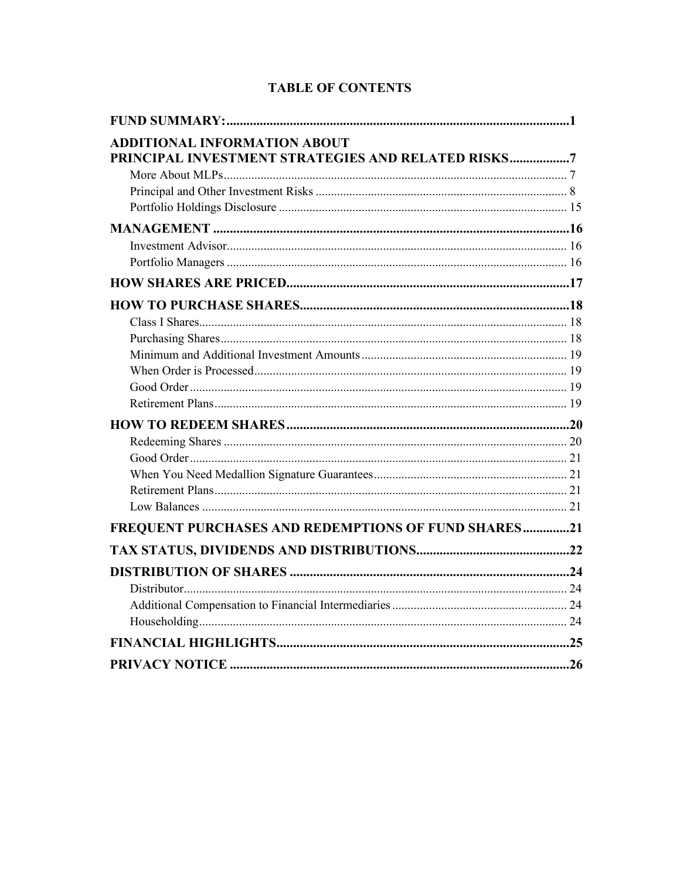| <b>ADDITIONAL INFORMATION ABOUT</b><br>PRINCIPAL INVESTMENT STRATEGIES AND RELATED RISKS7 |  |
|-------------------------------------------------------------------------------------------|--|
|                                                                                           |  |
|                                                                                           |  |
|                                                                                           |  |
|                                                                                           |  |
|                                                                                           |  |
|                                                                                           |  |
|                                                                                           |  |
|                                                                                           |  |
|                                                                                           |  |
|                                                                                           |  |
|                                                                                           |  |
|                                                                                           |  |
|                                                                                           |  |
|                                                                                           |  |
|                                                                                           |  |
|                                                                                           |  |
|                                                                                           |  |
|                                                                                           |  |
|                                                                                           |  |
|                                                                                           |  |
| FREQUENT PURCHASES AND REDEMPTIONS OF FUND SHARES21                                       |  |
|                                                                                           |  |
|                                                                                           |  |
|                                                                                           |  |
|                                                                                           |  |
|                                                                                           |  |
|                                                                                           |  |
|                                                                                           |  |

# **TABLE OF CONTENTS**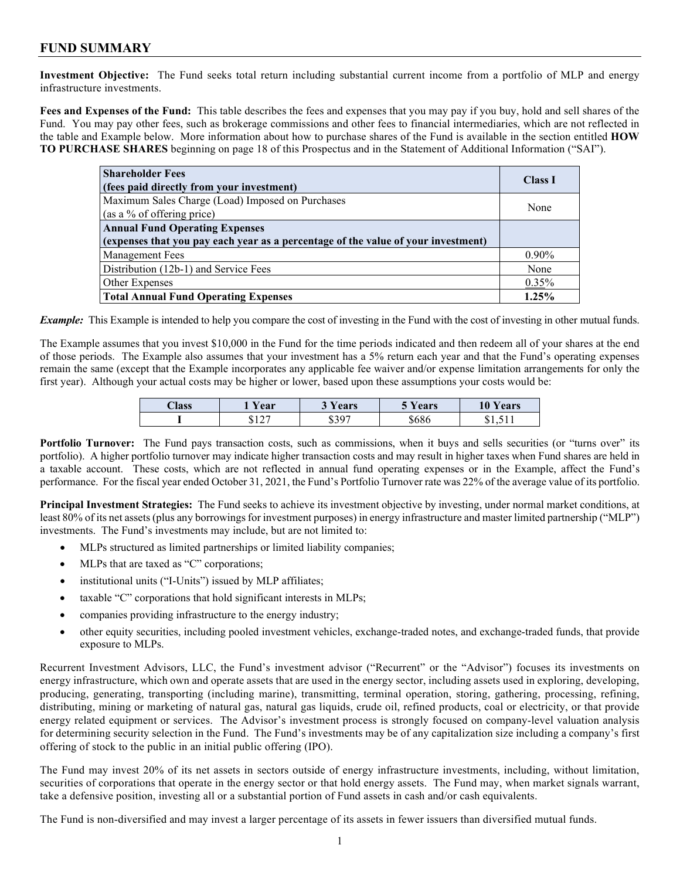## **FUND SUMMARY**

**Investment Objective:** The Fund seeks total return including substantial current income from a portfolio of MLP and energy infrastructure investments.

**Fees and Expenses of the Fund:** This table describes the fees and expenses that you may pay if you buy, hold and sell shares of the Fund. You may pay other fees, such as brokerage commissions and other fees to financial intermediaries, which are not reflected in the table and Example below. More information about how to purchase shares of the Fund is available in the section entitled **HOW TO PURCHASE SHARES** beginning on page 18 of this Prospectus and in the Statement of Additional Information ("SAI").

| <b>Shareholder Fees</b><br>(fees paid directly from your investment)              | <b>Class I</b> |
|-----------------------------------------------------------------------------------|----------------|
| Maximum Sales Charge (Load) Imposed on Purchases<br>(as a % of offering price)    | None           |
| <b>Annual Fund Operating Expenses</b>                                             |                |
| (expenses that you pay each year as a percentage of the value of your investment) |                |
| Management Fees                                                                   | $0.90\%$       |
| Distribution (12b-1) and Service Fees                                             | None           |
| Other Expenses                                                                    | 0.35%          |
| <b>Total Annual Fund Operating Expenses</b>                                       | 1.25%          |

*Example:* This Example is intended to help you compare the cost of investing in the Fund with the cost of investing in other mutual funds.

The Example assumes that you invest \$10,000 in the Fund for the time periods indicated and then redeem all of your shares at the end of those periods. The Example also assumes that your investment has a 5% return each year and that the Fund's operating expenses remain the same (except that the Example incorporates any applicable fee waiver and/or expense limitation arrangements for only the first year). Although your actual costs may be higher or lower, based upon these assumptions your costs would be:

| <b>Class</b> | Vear   | ears              | Vears <b>Theory</b> | 10<br>ears  |
|--------------|--------|-------------------|---------------------|-------------|
|              | $\sim$ | <b>8307</b><br>رس | \$686               | $-1$<br>دו. |

Portfolio Turnover: The Fund pays transaction costs, such as commissions, when it buys and sells securities (or "turns over" its portfolio). A higher portfolio turnover may indicate higher transaction costs and may result in higher taxes when Fund shares are held in a taxable account. These costs, which are not reflected in annual fund operating expenses or in the Example, affect the Fund's performance. For the fiscal year ended October 31, 2021, the Fund's Portfolio Turnover rate was 22% of the average value of its portfolio.

**Principal Investment Strategies:** The Fund seeks to achieve its investment objective by investing, under normal market conditions, at least 80% of its net assets (plus any borrowings for investment purposes) in energy infrastructure and master limited partnership ("MLP") investments. The Fund's investments may include, but are not limited to:

- MLPs structured as limited partnerships or limited liability companies;
- MLPs that are taxed as "C" corporations;
- institutional units ("I-Units") issued by MLP affiliates;
- taxable "C" corporations that hold significant interests in MLPs;
- companies providing infrastructure to the energy industry;
- other equity securities, including pooled investment vehicles, exchange-traded notes, and exchange-traded funds, that provide exposure to MLPs.

Recurrent Investment Advisors, LLC, the Fund's investment advisor ("Recurrent" or the "Advisor") focuses its investments on energy infrastructure, which own and operate assets that are used in the energy sector, including assets used in exploring, developing, producing, generating, transporting (including marine), transmitting, terminal operation, storing, gathering, processing, refining, distributing, mining or marketing of natural gas, natural gas liquids, crude oil, refined products, coal or electricity, or that provide energy related equipment or services. The Advisor's investment process is strongly focused on company-level valuation analysis for determining security selection in the Fund. The Fund's investments may be of any capitalization size including a company's first offering of stock to the public in an initial public offering (IPO).

The Fund may invest 20% of its net assets in sectors outside of energy infrastructure investments, including, without limitation, securities of corporations that operate in the energy sector or that hold energy assets. The Fund may, when market signals warrant, take a defensive position, investing all or a substantial portion of Fund assets in cash and/or cash equivalents.

The Fund is non-diversified and may invest a larger percentage of its assets in fewer issuers than diversified mutual funds.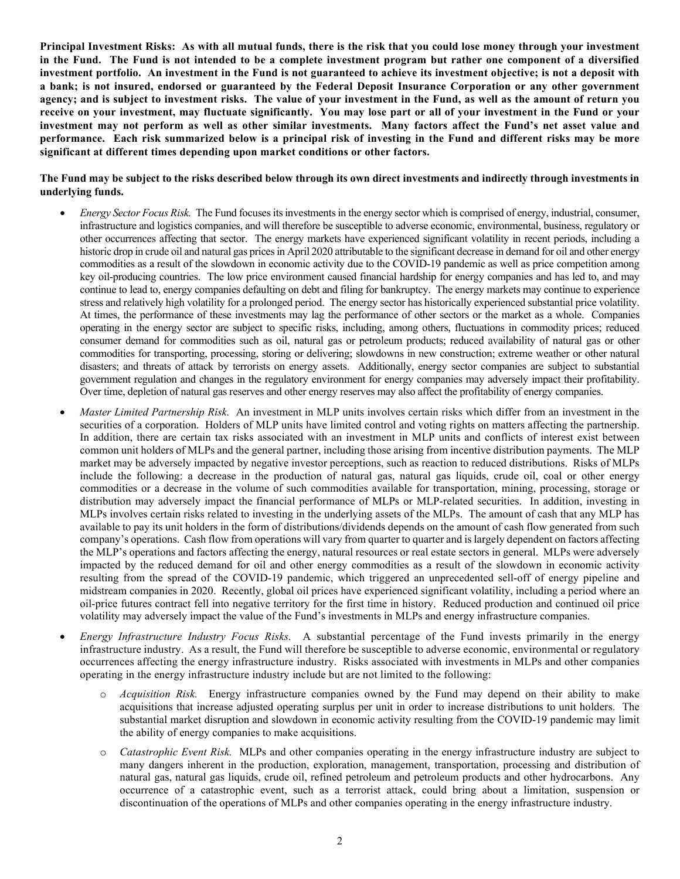Principal Investment Risks: As with all mutual funds, there is the risk that you could lose money through your investment in the Fund. The Fund is not intended to be a complete investment program but rather one component of a diversified **investment portfolio. An investment in the Fund is not guaranteed to achieve its investment objective; is not a deposit with a bank; is not insured, endorsed or guaranteed by the Federal Deposit Insurance Corporation or any other government agency; and is subject to investment risks. The value of your investment in the Fund, as well as the amount of return you receive on your investment, may fluctuate significantly. You may lose part or all of your investment in the Fund or your investment may not perform as well as other similar investments. Many factors affect the Fund's net asset value and performance. Each risk summarized below is a principal risk of investing in the Fund and different risks may be more significant at different times depending upon market conditions or other factors.**

**The Fund may be subject to the risks described below through its own direct investments and indirectly through investments in underlying funds.** 

- *Energy Sector Focus Risk.* The Fund focuses its investments in the energy sector which is comprised of energy, industrial, consumer, infrastructure and logistics companies, and will therefore be susceptible to adverse economic, environmental, business, regulatory or other occurrences affecting that sector. The energy markets have experienced significant volatility in recent periods, including a historic drop in crude oil and natural gas prices in April 2020 attributable to the significant decrease in demand for oil and other energy commodities as a result of the slowdown in economic activity due to the COVID-19 pandemic as well as price competition among key oil-producing countries. The low price environment caused financial hardship for energy companies and has led to, and may continue to lead to, energy companies defaulting on debt and filing for bankruptcy. The energy markets may continue to experience stress and relatively high volatility for a prolonged period. The energy sector has historically experienced substantial price volatility. At times, the performance of these investments may lag the performance of other sectors or the market as a whole. Companies operating in the energy sector are subject to specific risks, including, among others, fluctuations in commodity prices; reduced consumer demand for commodities such as oil, natural gas or petroleum products; reduced availability of natural gas or other commodities for transporting, processing, storing or delivering; slowdowns in new construction; extreme weather or other natural disasters; and threats of attack by terrorists on energy assets. Additionally, energy sector companies are subject to substantial government regulation and changes in the regulatory environment for energy companies may adversely impact their profitability. Over time, depletion of natural gas reserves and other energy reserves may also affect the profitability of energy companies.
- *Master Limited Partnership Risk.* An investment in MLP units involves certain risks which differ from an investment in the securities of a corporation. Holders of MLP units have limited control and voting rights on matters affecting the partnership. In addition, there are certain tax risks associated with an investment in MLP units and conflicts of interest exist between common unit holders of MLPs and the general partner, including those arising from incentive distribution payments. The MLP market may be adversely impacted by negative investor perceptions, such as reaction to reduced distributions. Risks of MLPs include the following: a decrease in the production of natural gas, natural gas liquids, crude oil, coal or other energy commodities or a decrease in the volume of such commodities available for transportation, mining, processing, storage or distribution may adversely impact the financial performance of MLPs or MLP-related securities. In addition, investing in MLPs involves certain risks related to investing in the underlying assets of the MLPs. The amount of cash that any MLP has available to pay its unit holders in the form of distributions/dividends depends on the amount of cash flow generated from such company's operations. Cash flow from operations will vary from quarter to quarter and is largely dependent on factors affecting the MLP's operations and factors affecting the energy, natural resources or real estate sectors in general. MLPs were adversely impacted by the reduced demand for oil and other energy commodities as a result of the slowdown in economic activity resulting from the spread of the COVID-19 pandemic, which triggered an unprecedented sell-off of energy pipeline and midstream companies in 2020. Recently, global oil prices have experienced significant volatility, including a period where an oil-price futures contract fell into negative territory for the first time in history. Reduced production and continued oil price volatility may adversely impact the value of the Fund's investments in MLPs and energy infrastructure companies.
- *Energy Infrastructure Industry Focus Risks.* A substantial percentage of the Fund invests primarily in the energy infrastructure industry. As a result, the Fund will therefore be susceptible to adverse economic, environmental or regulatory occurrences affecting the energy infrastructure industry. Risks associated with investments in MLPs and other companies operating in the energy infrastructure industry include but are not limited to the following:
	- *Acquisition Risk.* Energy infrastructure companies owned by the Fund may depend on their ability to make acquisitions that increase adjusted operating surplus per unit in order to increase distributions to unit holders. The substantial market disruption and slowdown in economic activity resulting from the COVID-19 pandemic may limit the ability of energy companies to make acquisitions.
	- o *Catastrophic Event Risk.* MLPs and other companies operating in the energy infrastructure industry are subject to many dangers inherent in the production, exploration, management, transportation, processing and distribution of natural gas, natural gas liquids, crude oil, refined petroleum and petroleum products and other hydrocarbons. Any occurrence of a catastrophic event, such as a terrorist attack, could bring about a limitation, suspension or discontinuation of the operations of MLPs and other companies operating in the energy infrastructure industry.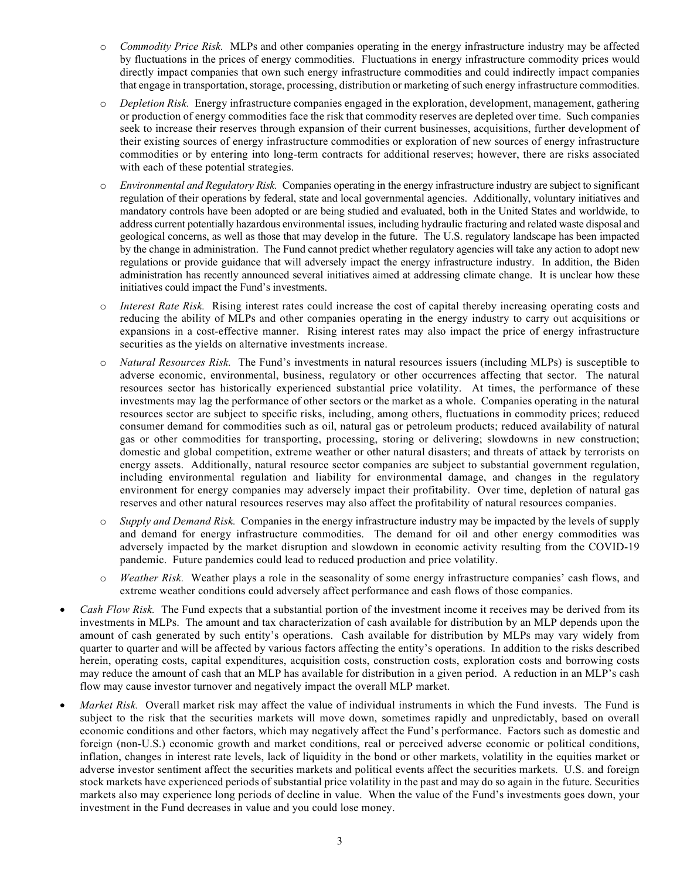- o *Commodity Price Risk.* MLPs and other companies operating in the energy infrastructure industry may be affected by fluctuations in the prices of energy commodities. Fluctuations in energy infrastructure commodity prices would directly impact companies that own such energy infrastructure commodities and could indirectly impact companies that engage in transportation, storage, processing, distribution or marketing of such energy infrastructure commodities.
- o *Depletion Risk.* Energy infrastructure companies engaged in the exploration, development, management, gathering or production of energy commodities face the risk that commodity reserves are depleted over time. Such companies seek to increase their reserves through expansion of their current businesses, acquisitions, further development of their existing sources of energy infrastructure commodities or exploration of new sources of energy infrastructure commodities or by entering into long-term contracts for additional reserves; however, there are risks associated with each of these potential strategies.
- o *Environmental and Regulatory Risk.* Companies operating in the energy infrastructure industry are subject to significant regulation of their operations by federal, state and local governmental agencies. Additionally, voluntary initiatives and mandatory controls have been adopted or are being studied and evaluated, both in the United States and worldwide, to address current potentially hazardous environmental issues, including hydraulic fracturing and related waste disposal and geological concerns, as well as those that may develop in the future. The U.S. regulatory landscape has been impacted by the change in administration. The Fund cannot predict whether regulatory agencies will take any action to adopt new regulations or provide guidance that will adversely impact the energy infrastructure industry. In addition, the Biden administration has recently announced several initiatives aimed at addressing climate change. It is unclear how these initiatives could impact the Fund's investments.
- o *Interest Rate Risk.* Rising interest rates could increase the cost of capital thereby increasing operating costs and reducing the ability of MLPs and other companies operating in the energy industry to carry out acquisitions or expansions in a cost-effective manner. Rising interest rates may also impact the price of energy infrastructure securities as the yields on alternative investments increase.
- o *Natural Resources Risk.* The Fund's investments in natural resources issuers (including MLPs) is susceptible to adverse economic, environmental, business, regulatory or other occurrences affecting that sector. The natural resources sector has historically experienced substantial price volatility. At times, the performance of these investments may lag the performance of other sectors or the market as a whole. Companies operating in the natural resources sector are subject to specific risks, including, among others, fluctuations in commodity prices; reduced consumer demand for commodities such as oil, natural gas or petroleum products; reduced availability of natural gas or other commodities for transporting, processing, storing or delivering; slowdowns in new construction; domestic and global competition, extreme weather or other natural disasters; and threats of attack by terrorists on energy assets. Additionally, natural resource sector companies are subject to substantial government regulation, including environmental regulation and liability for environmental damage, and changes in the regulatory environment for energy companies may adversely impact their profitability. Over time, depletion of natural gas reserves and other natural resources reserves may also affect the profitability of natural resources companies.
- o *Supply and Demand Risk.* Companies in the energy infrastructure industry may be impacted by the levels of supply and demand for energy infrastructure commodities. The demand for oil and other energy commodities was adversely impacted by the market disruption and slowdown in economic activity resulting from the COVID-19 pandemic. Future pandemics could lead to reduced production and price volatility.
- o *Weather Risk.* Weather plays a role in the seasonality of some energy infrastructure companies' cash flows, and extreme weather conditions could adversely affect performance and cash flows of those companies.
- *Cash Flow Risk.* The Fund expects that a substantial portion of the investment income it receives may be derived from its investments in MLPs. The amount and tax characterization of cash available for distribution by an MLP depends upon the amount of cash generated by such entity's operations. Cash available for distribution by MLPs may vary widely from quarter to quarter and will be affected by various factors affecting the entity's operations. In addition to the risks described herein, operating costs, capital expenditures, acquisition costs, construction costs, exploration costs and borrowing costs may reduce the amount of cash that an MLP has available for distribution in a given period. A reduction in an MLP's cash flow may cause investor turnover and negatively impact the overall MLP market.
- *Market Risk.* Overall market risk may affect the value of individual instruments in which the Fund invests. The Fund is subject to the risk that the securities markets will move down, sometimes rapidly and unpredictably, based on overall economic conditions and other factors, which may negatively affect the Fund's performance. Factors such as domestic and foreign (non-U.S.) economic growth and market conditions, real or perceived adverse economic or political conditions, inflation, changes in interest rate levels, lack of liquidity in the bond or other markets, volatility in the equities market or adverse investor sentiment affect the securities markets and political events affect the securities markets. U.S. and foreign stock markets have experienced periods of substantial price volatility in the past and may do so again in the future. Securities markets also may experience long periods of decline in value. When the value of the Fund's investments goes down, your investment in the Fund decreases in value and you could lose money.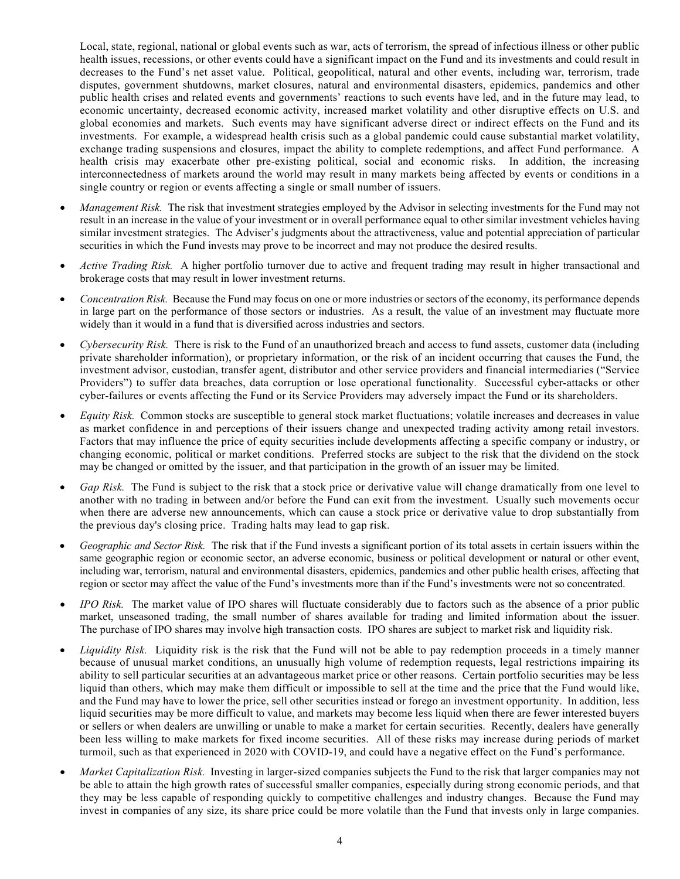Local, state, regional, national or global events such as war, acts of terrorism, the spread of infectious illness or other public health issues, recessions, or other events could have a significant impact on the Fund and its investments and could result in decreases to the Fund's net asset value. Political, geopolitical, natural and other events, including war, terrorism, trade disputes, government shutdowns, market closures, natural and environmental disasters, epidemics, pandemics and other public health crises and related events and governments' reactions to such events have led, and in the future may lead, to economic uncertainty, decreased economic activity, increased market volatility and other disruptive effects on U.S. and global economies and markets. Such events may have significant adverse direct or indirect effects on the Fund and its investments. For example, a widespread health crisis such as a global pandemic could cause substantial market volatility, exchange trading suspensions and closures, impact the ability to complete redemptions, and affect Fund performance. A health crisis may exacerbate other pre-existing political, social and economic risks. In addition, the increasing interconnectedness of markets around the world may result in many markets being affected by events or conditions in a single country or region or events affecting a single or small number of issuers.

- *Management Risk.* The risk that investment strategies employed by the Advisor in selecting investments for the Fund may not result in an increase in the value of your investment or in overall performance equal to other similar investment vehicles having similar investment strategies. The Adviser's judgments about the attractiveness, value and potential appreciation of particular securities in which the Fund invests may prove to be incorrect and may not produce the desired results.
- *Active Trading Risk.* A higher portfolio turnover due to active and frequent trading may result in higher transactional and brokerage costs that may result in lower investment returns.
- *Concentration Risk.* Because the Fund may focus on one or more industries or sectors of the economy, its performance depends in large part on the performance of those sectors or industries. As a result, the value of an investment may fluctuate more widely than it would in a fund that is diversified across industries and sectors.
- *Cybersecurity Risk.* There is risk to the Fund of an unauthorized breach and access to fund assets, customer data (including private shareholder information), or proprietary information, or the risk of an incident occurring that causes the Fund, the investment advisor, custodian, transfer agent, distributor and other service providers and financial intermediaries ("Service Providers") to suffer data breaches, data corruption or lose operational functionality. Successful cyber-attacks or other cyber-failures or events affecting the Fund or its Service Providers may adversely impact the Fund or its shareholders.
- *Equity Risk.* Common stocks are susceptible to general stock market fluctuations; volatile increases and decreases in value as market confidence in and perceptions of their issuers change and unexpected trading activity among retail investors. Factors that may influence the price of equity securities include developments affecting a specific company or industry, or changing economic, political or market conditions. Preferred stocks are subject to the risk that the dividend on the stock may be changed or omitted by the issuer, and that participation in the growth of an issuer may be limited.
- *Gap Risk.* The Fund is subject to the risk that a stock price or derivative value will change dramatically from one level to another with no trading in between and/or before the Fund can exit from the investment. Usually such movements occur when there are adverse new announcements, which can cause a stock price or derivative value to drop substantially from the previous day's closing price. Trading halts may lead to gap risk.
- *Geographic and Sector Risk.* The risk that if the Fund invests a significant portion of its total assets in certain issuers within the same geographic region or economic sector, an adverse economic, business or political development or natural or other event, including war, terrorism, natural and environmental disasters, epidemics, pandemics and other public health crises, affecting that region or sector may affect the value of the Fund's investments more than if the Fund's investments were not so concentrated.
- *IPO Risk.* The market value of IPO shares will fluctuate considerably due to factors such as the absence of a prior public market, unseasoned trading, the small number of shares available for trading and limited information about the issuer. The purchase of IPO shares may involve high transaction costs. IPO shares are subject to market risk and liquidity risk.
- *Liquidity Risk.* Liquidity risk is the risk that the Fund will not be able to pay redemption proceeds in a timely manner because of unusual market conditions, an unusually high volume of redemption requests, legal restrictions impairing its ability to sell particular securities at an advantageous market price or other reasons. Certain portfolio securities may be less liquid than others, which may make them difficult or impossible to sell at the time and the price that the Fund would like, and the Fund may have to lower the price, sell other securities instead or forego an investment opportunity. In addition, less liquid securities may be more difficult to value, and markets may become less liquid when there are fewer interested buyers or sellers or when dealers are unwilling or unable to make a market for certain securities. Recently, dealers have generally been less willing to make markets for fixed income securities. All of these risks may increase during periods of market turmoil, such as that experienced in 2020 with COVID-19, and could have a negative effect on the Fund's performance.
- *Market Capitalization Risk.* Investing in larger-sized companies subjects the Fund to the risk that larger companies may not be able to attain the high growth rates of successful smaller companies, especially during strong economic periods, and that they may be less capable of responding quickly to competitive challenges and industry changes. Because the Fund may invest in companies of any size, its share price could be more volatile than the Fund that invests only in large companies.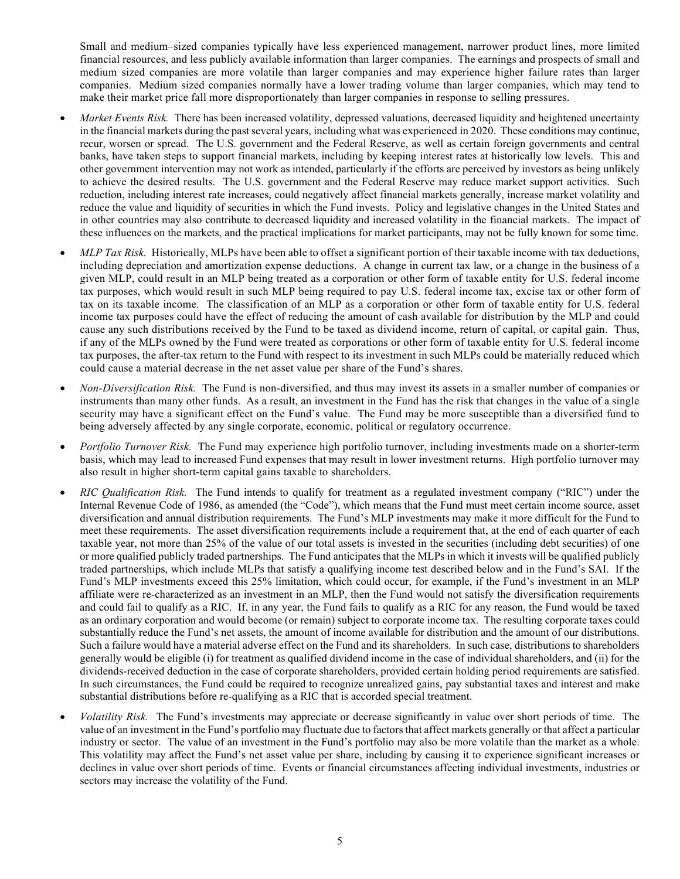Small and medium–sized companies typically have less experienced management, narrower product lines, more limited financial resources, and less publicly available information than larger companies. The earnings and prospects of small and medium sized companies are more volatile than larger companies and may experience higher failure rates than larger companies. Medium sized companies normally have a lower trading volume than larger companies, which may tend to make their market price fall more disproportionately than larger companies in response to selling pressures.

- *Market Events Risk.* There has been increased volatility, depressed valuations, decreased liquidity and heightened uncertainty in the financial markets during the past several years, including what was experienced in 2020. These conditions may continue, recur, worsen or spread. The U.S. government and the Federal Reserve, as well as certain foreign governments and central banks, have taken steps to support financial markets, including by keeping interest rates at historically low levels. This and other government intervention may not work as intended, particularly if the efforts are perceived by investors as being unlikely to achieve the desired results. The U.S. government and the Federal Reserve may reduce market support activities. Such reduction, including interest rate increases, could negatively affect financial markets generally, increase market volatility and reduce the value and liquidity of securities in which the Fund invests. Policy and legislative changes in the United States and in other countries may also contribute to decreased liquidity and increased volatility in the financial markets. The impact of these influences on the markets, and the practical implications for market participants, may not be fully known for some time.
- *MLP Tax Risk.* Historically, MLPs have been able to offset a significant portion of their taxable income with tax deductions, including depreciation and amortization expense deductions. A change in current tax law, or a change in the business of a given MLP, could result in an MLP being treated as a corporation or other form of taxable entity for U.S. federal income tax purposes, which would result in such MLP being required to pay U.S. federal income tax, excise tax or other form of tax on its taxable income. The classification of an MLP as a corporation or other form of taxable entity for U.S. federal income tax purposes could have the effect of reducing the amount of cash available for distribution by the MLP and could cause any such distributions received by the Fund to be taxed as dividend income, return of capital, or capital gain. Thus, if any of the MLPs owned by the Fund were treated as corporations or other form of taxable entity for U.S. federal income tax purposes, the after-tax return to the Fund with respect to its investment in such MLPs could be materially reduced which could cause a material decrease in the net asset value per share of the Fund's shares.
- *Non-Diversification Risk.* The Fund is non-diversified, and thus may invest its assets in a smaller number of companies or instruments than many other funds. As a result, an investment in the Fund has the risk that changes in the value of a single security may have a significant effect on the Fund's value. The Fund may be more susceptible than a diversified fund to being adversely affected by any single corporate, economic, political or regulatory occurrence.
- *Portfolio Turnover Risk.* The Fund may experience high portfolio turnover, including investments made on a shorter-term basis, which may lead to increased Fund expenses that may result in lower investment returns. High portfolio turnover may also result in higher short-term capital gains taxable to shareholders.
- *RIC Qualification Risk.* The Fund intends to qualify for treatment as a regulated investment company ("RIC") under the Internal Revenue Code of 1986, as amended (the "Code"), which means that the Fund must meet certain income source, asset diversification and annual distribution requirements. The Fund's MLP investments may make it more difficult for the Fund to meet these requirements. The asset diversification requirements include a requirement that, at the end of each quarter of each taxable year, not more than 25% of the value of our total assets is invested in the securities (including debt securities) of one or more qualified publicly traded partnerships. The Fund anticipates that the MLPs in which it invests will be qualified publicly traded partnerships, which include MLPs that satisfy a qualifying income test described below and in the Fund's SAI. If the Fund's MLP investments exceed this 25% limitation, which could occur, for example, if the Fund's investment in an MLP affiliate were re-characterized as an investment in an MLP, then the Fund would not satisfy the diversification requirements and could fail to qualify as a RIC. If, in any year, the Fund fails to qualify as a RIC for any reason, the Fund would be taxed as an ordinary corporation and would become (or remain) subject to corporate income tax. The resulting corporate taxes could substantially reduce the Fund's net assets, the amount of income available for distribution and the amount of our distributions. Such a failure would have a material adverse effect on the Fund and its shareholders. In such case, distributions to shareholders generally would be eligible (i) for treatment as qualified dividend income in the case of individual shareholders, and (ii) for the dividends-received deduction in the case of corporate shareholders, provided certain holding period requirements are satisfied. In such circumstances, the Fund could be required to recognize unrealized gains, pay substantial taxes and interest and make substantial distributions before re-qualifying as a RIC that is accorded special treatment.
- *Volatility Risk.* The Fund's investments may appreciate or decrease significantly in value over short periods of time. The value of an investment in the Fund's portfolio may fluctuate due to factors that affect markets generally or that affect a particular industry or sector. The value of an investment in the Fund's portfolio may also be more volatile than the market as a whole. This volatility may affect the Fund's net asset value per share, including by causing it to experience significant increases or declines in value over short periods of time. Events or financial circumstances affecting individual investments, industries or sectors may increase the volatility of the Fund.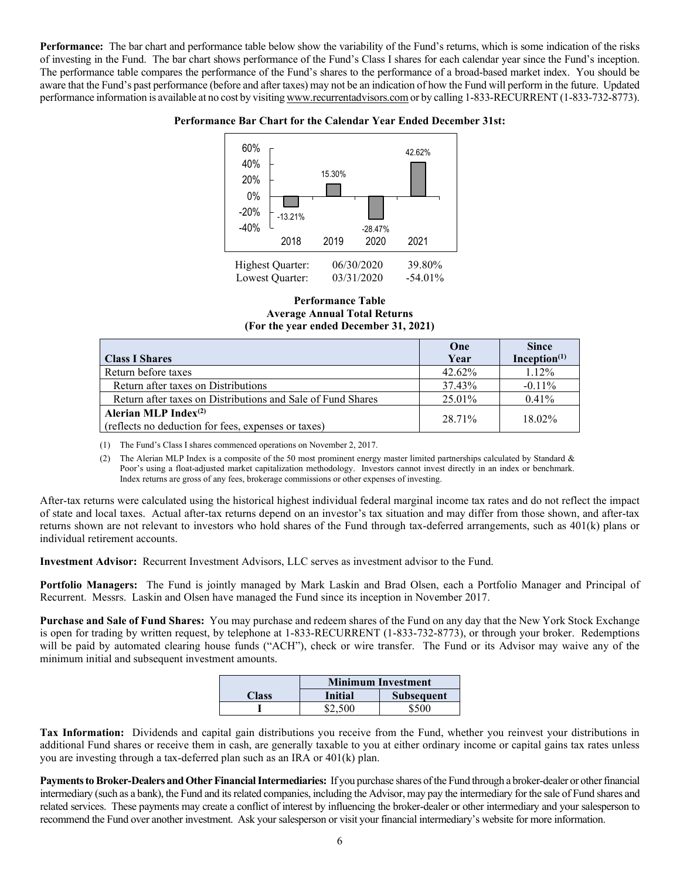**Performance:** The bar chart and performance table below show the variability of the Fund's returns, which is some indication of the risks of investing in the Fund. The bar chart shows performance of the Fund's Class I shares for each calendar year since the Fund's inception. The performance table compares the performance of the Fund's shares to the performance of a broad-based market index. You should be aware that the Fund's past performance (before and after taxes) may not be an indication of how the Fund will perform in the future. Updated performance information is available at no cost by visiting [www.recurrentadvisors.com](http://www.recurrentadvisors.com/) or by calling 1-833-RECURRENT (1-833-732-8773).

#### **Performance Bar Chart for the Calendar Year Ended December 31st:**



#### **Performance Table Average Annual Total Returns (For the year ended December 31, 2021)**

|                                                                                | One    | <b>Since</b>    |
|--------------------------------------------------------------------------------|--------|-----------------|
| <b>Class I Shares</b>                                                          | Year   | Inception $(1)$ |
| Return before taxes                                                            | 42.62% | $1.12\%$        |
| Return after taxes on Distributions                                            | 37.43% | $-0.11\%$       |
| Return after taxes on Distributions and Sale of Fund Shares                    | 25.01% | $0.41\%$        |
| Alerian MLP Index $(2)$<br>(reflects no deduction for fees, expenses or taxes) | 28.71% | 18.02%          |

(1) The Fund's Class I shares commenced operations on November 2, 2017.

(2) The Alerian MLP Index is a composite of the 50 most prominent energy master limited partnerships calculated by Standard  $\&$ Poor's using a float-adjusted market capitalization methodology. Investors cannot invest directly in an index or benchmark. Index returns are gross of any fees, brokerage commissions or other expenses of investing.

After-tax returns were calculated using the historical highest individual federal marginal income tax rates and do not reflect the impact of state and local taxes. Actual after-tax returns depend on an investor's tax situation and may differ from those shown, and after-tax returns shown are not relevant to investors who hold shares of the Fund through tax-deferred arrangements, such as 401(k) plans or individual retirement accounts.

**Investment Advisor:** Recurrent Investment Advisors, LLC serves as investment advisor to the Fund.

**Portfolio Managers:** The Fund is jointly managed by Mark Laskin and Brad Olsen, each a Portfolio Manager and Principal of Recurrent. Messrs. Laskin and Olsen have managed the Fund since its inception in November 2017.

**Purchase and Sale of Fund Shares:** You may purchase and redeem shares of the Fund on any day that the New York Stock Exchange is open for trading by written request, by telephone at 1-833-RECURRENT (1-833-732-8773), or through your broker. Redemptions will be paid by automated clearing house funds ("ACH"), check or wire transfer. The Fund or its Advisor may waive any of the minimum initial and subsequent investment amounts.

|       | <b>Minimum Investment</b> |                   |  |  |
|-------|---------------------------|-------------------|--|--|
| Class | <b>Initial</b>            | <b>Subsequent</b> |  |  |
|       | \$2,500                   | \$500             |  |  |

**Tax Information:** Dividends and capital gain distributions you receive from the Fund, whether you reinvest your distributions in additional Fund shares or receive them in cash, are generally taxable to you at either ordinary income or capital gains tax rates unless you are investing through a tax-deferred plan such as an IRA or 401(k) plan.

Payments to Broker-Dealers and Other Financial Intermediaries: If you purchase shares of the Fund through a broker-dealer or other financial intermediary (such as a bank), the Fund and itsrelated companies, including the Advisor, may pay the intermediary for the sale of Fund shares and related services. These payments may create a conflict of interest by influencing the broker-dealer or other intermediary and your salesperson to recommend the Fund over another investment. Ask your salesperson or visit your financial intermediary's website for more information.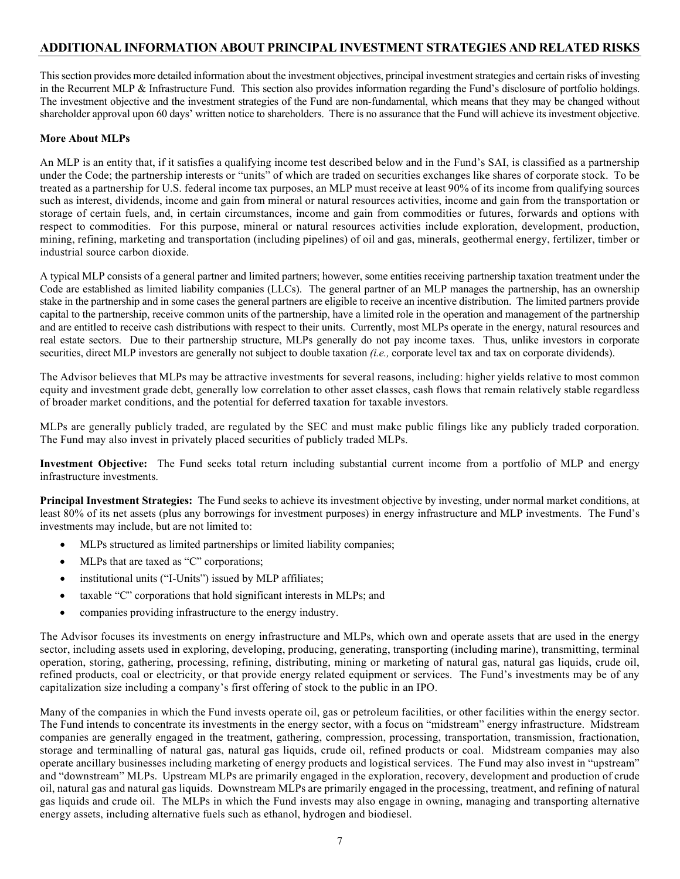### **ADDITIONAL INFORMATION ABOUT PRINCIPAL INVESTMENT STRATEGIES AND RELATED RISKS**

Thissection provides more detailed information about the investment objectives, principal investmentstrategies and certain risks of investing in the Recurrent MLP & Infrastructure Fund. This section also provides information regarding the Fund's disclosure of portfolio holdings. The investment objective and the investment strategies of the Fund are non-fundamental, which means that they may be changed without shareholder approval upon 60 days' written notice to shareholders. There is no assurance that the Fund will achieve its investment objective.

#### **More About MLPs**

An MLP is an entity that, if it satisfies a qualifying income test described below and in the Fund's SAI, is classified as a partnership under the Code; the partnership interests or "units" of which are traded on securities exchanges like shares of corporate stock. To be treated as a partnership for U.S. federal income tax purposes, an MLP must receive at least 90% of its income from qualifying sources such as interest, dividends, income and gain from mineral or natural resources activities, income and gain from the transportation or storage of certain fuels, and, in certain circumstances, income and gain from commodities or futures, forwards and options with respect to commodities. For this purpose, mineral or natural resources activities include exploration, development, production, mining, refining, marketing and transportation (including pipelines) of oil and gas, minerals, geothermal energy, fertilizer, timber or industrial source carbon dioxide.

A typical MLP consists of a general partner and limited partners; however, some entities receiving partnership taxation treatment under the Code are established as limited liability companies (LLCs). The general partner of an MLP manages the partnership, has an ownership stake in the partnership and in some cases the general partners are eligible to receive an incentive distribution. The limited partners provide capital to the partnership, receive common units of the partnership, have a limited role in the operation and management of the partnership and are entitled to receive cash distributions with respect to their units. Currently, most MLPs operate in the energy, natural resources and real estate sectors. Due to their partnership structure, MLPs generally do not pay income taxes. Thus, unlike investors in corporate securities, direct MLP investors are generally not subject to double taxation *(i.e.,* corporate level tax and tax on corporate dividends).

The Advisor believes that MLPs may be attractive investments for several reasons, including: higher yields relative to most common equity and investment grade debt, generally low correlation to other asset classes, cash flows that remain relatively stable regardless of broader market conditions, and the potential for deferred taxation for taxable investors.

MLPs are generally publicly traded, are regulated by the SEC and must make public filings like any publicly traded corporation. The Fund may also invest in privately placed securities of publicly traded MLPs.

**Investment Objective:** The Fund seeks total return including substantial current income from a portfolio of MLP and energy infrastructure investments.

**Principal Investment Strategies:** The Fund seeks to achieve its investment objective by investing, under normal market conditions, at least 80% of its net assets (plus any borrowings for investment purposes) in energy infrastructure and MLP investments. The Fund's investments may include, but are not limited to:

- MLPs structured as limited partnerships or limited liability companies;
- MLPs that are taxed as "C" corporations;
- institutional units ("I-Units") issued by MLP affiliates;
- taxable "C" corporations that hold significant interests in MLPs; and
- companies providing infrastructure to the energy industry.

The Advisor focuses its investments on energy infrastructure and MLPs, which own and operate assets that are used in the energy sector, including assets used in exploring, developing, producing, generating, transporting (including marine), transmitting, terminal operation, storing, gathering, processing, refining, distributing, mining or marketing of natural gas, natural gas liquids, crude oil, refined products, coal or electricity, or that provide energy related equipment or services. The Fund's investments may be of any capitalization size including a company's first offering of stock to the public in an IPO.

Many of the companies in which the Fund invests operate oil, gas or petroleum facilities, or other facilities within the energy sector. The Fund intends to concentrate its investments in the energy sector, with a focus on "midstream" energy infrastructure. Midstream companies are generally engaged in the treatment, gathering, compression, processing, transportation, transmission, fractionation, storage and terminalling of natural gas, natural gas liquids, crude oil, refined products or coal. Midstream companies may also operate ancillary businesses including marketing of energy products and logistical services. The Fund may also invest in "upstream" and "downstream" MLPs. Upstream MLPs are primarily engaged in the exploration, recovery, development and production of crude oil, natural gas and natural gas liquids. Downstream MLPs are primarily engaged in the processing, treatment, and refining of natural gas liquids and crude oil. The MLPs in which the Fund invests may also engage in owning, managing and transporting alternative energy assets, including alternative fuels such as ethanol, hydrogen and biodiesel.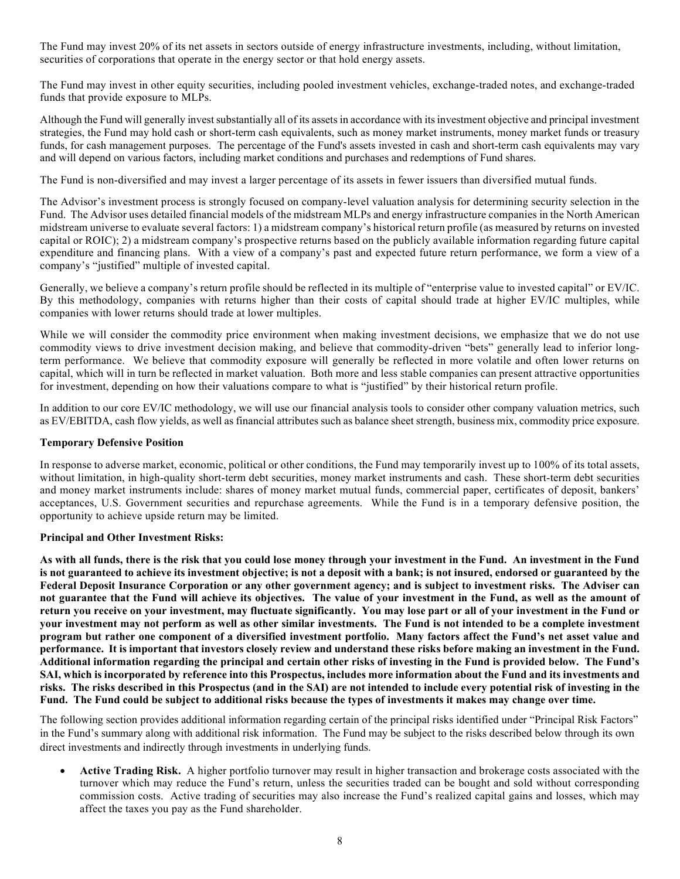The Fund may invest 20% of its net assets in sectors outside of energy infrastructure investments, including, without limitation, securities of corporations that operate in the energy sector or that hold energy assets.

The Fund may invest in other equity securities, including pooled investment vehicles, exchange-traded notes, and exchange-traded funds that provide exposure to MLPs.

Although the Fund will generally invest substantially all of its assets in accordance with its investment objective and principal investment strategies, the Fund may hold cash or short-term cash equivalents, such as money market instruments, money market funds or treasury funds, for cash management purposes. The percentage of the Fund's assets invested in cash and short-term cash equivalents may vary and will depend on various factors, including market conditions and purchases and redemptions of Fund shares.

The Fund is non-diversified and may invest a larger percentage of its assets in fewer issuers than diversified mutual funds.

The Advisor's investment process is strongly focused on company-level valuation analysis for determining security selection in the Fund. The Advisor uses detailed financial models of the midstream MLPs and energy infrastructure companies in the North American midstream universe to evaluate several factors: 1) a midstream company's historical return profile (as measured by returns on invested capital or ROIC); 2) a midstream company's prospective returns based on the publicly available information regarding future capital expenditure and financing plans. With a view of a company's past and expected future return performance, we form a view of a company's "justified" multiple of invested capital.

Generally, we believe a company's return profile should be reflected in its multiple of "enterprise value to invested capital" or EV/IC. By this methodology, companies with returns higher than their costs of capital should trade at higher EV/IC multiples, while companies with lower returns should trade at lower multiples.

While we will consider the commodity price environment when making investment decisions, we emphasize that we do not use commodity views to drive investment decision making, and believe that commodity-driven "bets" generally lead to inferior longterm performance. We believe that commodity exposure will generally be reflected in more volatile and often lower returns on capital, which will in turn be reflected in market valuation. Both more and less stable companies can present attractive opportunities for investment, depending on how their valuations compare to what is "justified" by their historical return profile.

In addition to our core EV/IC methodology, we will use our financial analysis tools to consider other company valuation metrics, such as EV/EBITDA, cash flow yields, as well as financial attributes such as balance sheet strength, business mix, commodity price exposure.

#### **Temporary Defensive Position**

In response to adverse market, economic, political or other conditions, the Fund may temporarily invest up to 100% of its total assets, without limitation, in high-quality short-term debt securities, money market instruments and cash. These short-term debt securities and money market instruments include: shares of money market mutual funds, commercial paper, certificates of deposit, bankers' acceptances, U.S. Government securities and repurchase agreements. While the Fund is in a temporary defensive position, the opportunity to achieve upside return may be limited.

### **Principal and Other Investment Risks:**

**As with all funds, there is the risk that you could lose money through your investment in the Fund. An investment in the Fund is not guaranteed to achieve its investment objective; is not a deposit with a bank; is not insured, endorsed or guaranteed by the Federal Deposit Insurance Corporation or any other government agency; and is subject to investment risks. The Adviser can not guarantee that the Fund will achieve its objectives. The value of your investment in the Fund, as well as the amount of return you receive on your investment, may fluctuate significantly. You may lose part or all of your investment in the Fund or your investment may not perform as well as other similar investments. The Fund is not intended to be a complete investment program but rather one component of a diversified investment portfolio. Many factors affect the Fund's net asset value and performance. It is important that investors closely review and understand these risks before making an investment in the Fund. Additional information regarding the principal and certain other risks of investing in the Fund is provided below. The Fund's SAI, which is incorporated by reference into this Prospectus, includes more information about the Fund and its investments and risks. The risks described in this Prospectus (and in the SAI) are not intended to include every potential risk of investing in the Fund. The Fund could be subject to additional risks because the types of investments it makes may change over time.**

The following section provides additional information regarding certain of the principal risks identified under "Principal Risk Factors" in the Fund's summary along with additional risk information. The Fund may be subject to the risks described below through its own direct investments and indirectly through investments in underlying funds.

• **Active Trading Risk.** A higher portfolio turnover may result in higher transaction and brokerage costs associated with the turnover which may reduce the Fund's return, unless the securities traded can be bought and sold without corresponding commission costs. Active trading of securities may also increase the Fund's realized capital gains and losses, which may affect the taxes you pay as the Fund shareholder.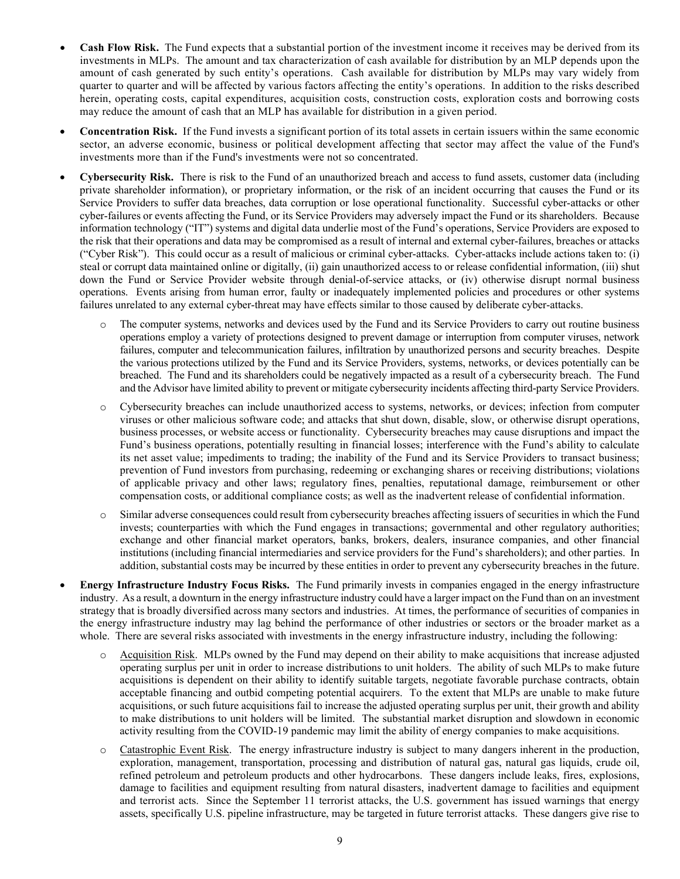- **Cash Flow Risk.** The Fund expects that a substantial portion of the investment income it receives may be derived from its investments in MLPs. The amount and tax characterization of cash available for distribution by an MLP depends upon the amount of cash generated by such entity's operations. Cash available for distribution by MLPs may vary widely from quarter to quarter and will be affected by various factors affecting the entity's operations. In addition to the risks described herein, operating costs, capital expenditures, acquisition costs, construction costs, exploration costs and borrowing costs may reduce the amount of cash that an MLP has available for distribution in a given period.
- **Concentration Risk.** If the Fund invests a significant portion of its total assets in certain issuers within the same economic sector, an adverse economic, business or political development affecting that sector may affect the value of the Fund's investments more than if the Fund's investments were not so concentrated.
- **Cybersecurity Risk.** There is risk to the Fund of an unauthorized breach and access to fund assets, customer data (including private shareholder information), or proprietary information, or the risk of an incident occurring that causes the Fund or its Service Providers to suffer data breaches, data corruption or lose operational functionality. Successful cyber-attacks or other cyber-failures or events affecting the Fund, or its Service Providers may adversely impact the Fund or its shareholders. Because information technology ("IT") systems and digital data underlie most of the Fund's operations, Service Providers are exposed to the risk that their operations and data may be compromised as a result of internal and external cyber-failures, breaches or attacks ("Cyber Risk"). This could occur as a result of malicious or criminal cyber-attacks. Cyber-attacks include actions taken to: (i) steal or corrupt data maintained online or digitally, (ii) gain unauthorized access to or release confidential information, (iii) shut down the Fund or Service Provider website through denial-of-service attacks, or (iv) otherwise disrupt normal business operations. Events arising from human error, faulty or inadequately implemented policies and procedures or other systems failures unrelated to any external cyber-threat may have effects similar to those caused by deliberate cyber-attacks.
	- The computer systems, networks and devices used by the Fund and its Service Providers to carry out routine business operations employ a variety of protections designed to prevent damage or interruption from computer viruses, network failures, computer and telecommunication failures, infiltration by unauthorized persons and security breaches. Despite the various protections utilized by the Fund and its Service Providers, systems, networks, or devices potentially can be breached. The Fund and its shareholders could be negatively impacted as a result of a cybersecurity breach. The Fund and the Advisor have limited ability to prevent or mitigate cybersecurity incidents affecting third-party Service Providers.
	- o Cybersecurity breaches can include unauthorized access to systems, networks, or devices; infection from computer viruses or other malicious software code; and attacks that shut down, disable, slow, or otherwise disrupt operations, business processes, or website access or functionality. Cybersecurity breaches may cause disruptions and impact the Fund's business operations, potentially resulting in financial losses; interference with the Fund's ability to calculate its net asset value; impediments to trading; the inability of the Fund and its Service Providers to transact business; prevention of Fund investors from purchasing, redeeming or exchanging shares or receiving distributions; violations of applicable privacy and other laws; regulatory fines, penalties, reputational damage, reimbursement or other compensation costs, or additional compliance costs; as well as the inadvertent release of confidential information.
	- o Similar adverse consequences could result from cybersecurity breaches affecting issuers of securities in which the Fund invests; counterparties with which the Fund engages in transactions; governmental and other regulatory authorities; exchange and other financial market operators, banks, brokers, dealers, insurance companies, and other financial institutions (including financial intermediaries and service providers for the Fund's shareholders); and other parties. In addition, substantial costs may be incurred by these entities in order to prevent any cybersecurity breaches in the future.
- **Energy Infrastructure Industry Focus Risks.** The Fund primarily invests in companies engaged in the energy infrastructure industry. As a result, a downturn in the energy infrastructure industry could have a larger impact on the Fund than on an investment strategy that is broadly diversified across many sectors and industries. At times, the performance of securities of companies in the energy infrastructure industry may lag behind the performance of other industries or sectors or the broader market as a whole. There are several risks associated with investments in the energy infrastructure industry, including the following:
	- o Acquisition Risk. MLPs owned by the Fund may depend on their ability to make acquisitions that increase adjusted operating surplus per unit in order to increase distributions to unit holders. The ability of such MLPs to make future acquisitions is dependent on their ability to identify suitable targets, negotiate favorable purchase contracts, obtain acceptable financing and outbid competing potential acquirers. To the extent that MLPs are unable to make future acquisitions, or such future acquisitions fail to increase the adjusted operating surplus per unit, their growth and ability to make distributions to unit holders will be limited. The substantial market disruption and slowdown in economic activity resulting from the COVID-19 pandemic may limit the ability of energy companies to make acquisitions.
	- o Catastrophic Event Risk. The energy infrastructure industry is subject to many dangers inherent in the production, exploration, management, transportation, processing and distribution of natural gas, natural gas liquids, crude oil, refined petroleum and petroleum products and other hydrocarbons. These dangers include leaks, fires, explosions, damage to facilities and equipment resulting from natural disasters, inadvertent damage to facilities and equipment and terrorist acts. Since the September 11 terrorist attacks, the U.S. government has issued warnings that energy assets, specifically U.S. pipeline infrastructure, may be targeted in future terrorist attacks. These dangers give rise to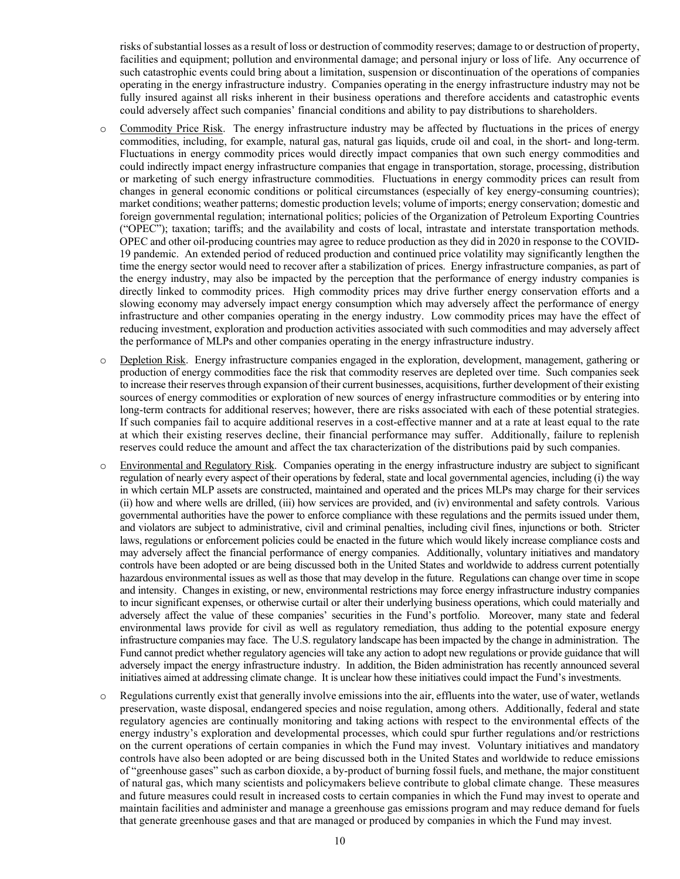risks of substantial losses as a result of loss or destruction of commodity reserves; damage to or destruction of property, facilities and equipment; pollution and environmental damage; and personal injury or loss of life. Any occurrence of such catastrophic events could bring about a limitation, suspension or discontinuation of the operations of companies operating in the energy infrastructure industry. Companies operating in the energy infrastructure industry may not be fully insured against all risks inherent in their business operations and therefore accidents and catastrophic events could adversely affect such companies' financial conditions and ability to pay distributions to shareholders.

- o Commodity Price Risk. The energy infrastructure industry may be affected by fluctuations in the prices of energy commodities, including, for example, natural gas, natural gas liquids, crude oil and coal, in the short- and long-term. Fluctuations in energy commodity prices would directly impact companies that own such energy commodities and could indirectly impact energy infrastructure companies that engage in transportation, storage, processing, distribution or marketing of such energy infrastructure commodities. Fluctuations in energy commodity prices can result from changes in general economic conditions or political circumstances (especially of key energy-consuming countries); market conditions; weather patterns; domestic production levels; volume of imports; energy conservation; domestic and foreign governmental regulation; international politics; policies of the Organization of Petroleum Exporting Countries ("OPEC"); taxation; tariffs; and the availability and costs of local, intrastate and interstate transportation methods. OPEC and other oil-producing countries may agree to reduce production as they did in 2020 in response to the COVID-19 pandemic. An extended period of reduced production and continued price volatility may significantly lengthen the time the energy sector would need to recover after a stabilization of prices. Energy infrastructure companies, as part of the energy industry, may also be impacted by the perception that the performance of energy industry companies is directly linked to commodity prices. High commodity prices may drive further energy conservation efforts and a slowing economy may adversely impact energy consumption which may adversely affect the performance of energy infrastructure and other companies operating in the energy industry. Low commodity prices may have the effect of reducing investment, exploration and production activities associated with such commodities and may adversely affect the performance of MLPs and other companies operating in the energy infrastructure industry.
- Depletion Risk. Energy infrastructure companies engaged in the exploration, development, management, gathering or production of energy commodities face the risk that commodity reserves are depleted over time. Such companies seek to increase their reserves through expansion of their current businesses, acquisitions, further development of their existing sources of energy commodities or exploration of new sources of energy infrastructure commodities or by entering into long-term contracts for additional reserves; however, there are risks associated with each of these potential strategies. If such companies fail to acquire additional reserves in a cost-effective manner and at a rate at least equal to the rate at which their existing reserves decline, their financial performance may suffer. Additionally, failure to replenish reserves could reduce the amount and affect the tax characterization of the distributions paid by such companies.
- Environmental and Regulatory Risk. Companies operating in the energy infrastructure industry are subject to significant regulation of nearly every aspect of their operations by federal, state and local governmental agencies, including (i) the way in which certain MLP assets are constructed, maintained and operated and the prices MLPs may charge for their services (ii) how and where wells are drilled, (iii) how services are provided, and (iv) environmental and safety controls. Various governmental authorities have the power to enforce compliance with these regulations and the permits issued under them, and violators are subject to administrative, civil and criminal penalties, including civil fines, injunctions or both. Stricter laws, regulations or enforcement policies could be enacted in the future which would likely increase compliance costs and may adversely affect the financial performance of energy companies. Additionally, voluntary initiatives and mandatory controls have been adopted or are being discussed both in the United States and worldwide to address current potentially hazardous environmental issues as well as those that may develop in the future. Regulations can change over time in scope and intensity. Changes in existing, or new, environmental restrictions may force energy infrastructure industry companies to incur significant expenses, or otherwise curtail or alter their underlying business operations, which could materially and adversely affect the value of these companies' securities in the Fund's portfolio. Moreover, many state and federal environmental laws provide for civil as well as regulatory remediation, thus adding to the potential exposure energy infrastructure companies may face. The U.S. regulatory landscape has been impacted by the change in administration. The Fund cannot predict whether regulatory agencies will take any action to adopt new regulations or provide guidance that will adversely impact the energy infrastructure industry. In addition, the Biden administration has recently announced several initiatives aimed at addressing climate change. It is unclear how these initiatives could impact the Fund's investments.
- o Regulations currently exist that generally involve emissions into the air, effluents into the water, use of water, wetlands preservation, waste disposal, endangered species and noise regulation, among others. Additionally, federal and state regulatory agencies are continually monitoring and taking actions with respect to the environmental effects of the energy industry's exploration and developmental processes, which could spur further regulations and/or restrictions on the current operations of certain companies in which the Fund may invest. Voluntary initiatives and mandatory controls have also been adopted or are being discussed both in the United States and worldwide to reduce emissions of "greenhouse gases" such as carbon dioxide, a by-product of burning fossil fuels, and methane, the major constituent of natural gas, which many scientists and policymakers believe contribute to global climate change. These measures and future measures could result in increased costs to certain companies in which the Fund may invest to operate and maintain facilities and administer and manage a greenhouse gas emissions program and may reduce demand for fuels that generate greenhouse gases and that are managed or produced by companies in which the Fund may invest.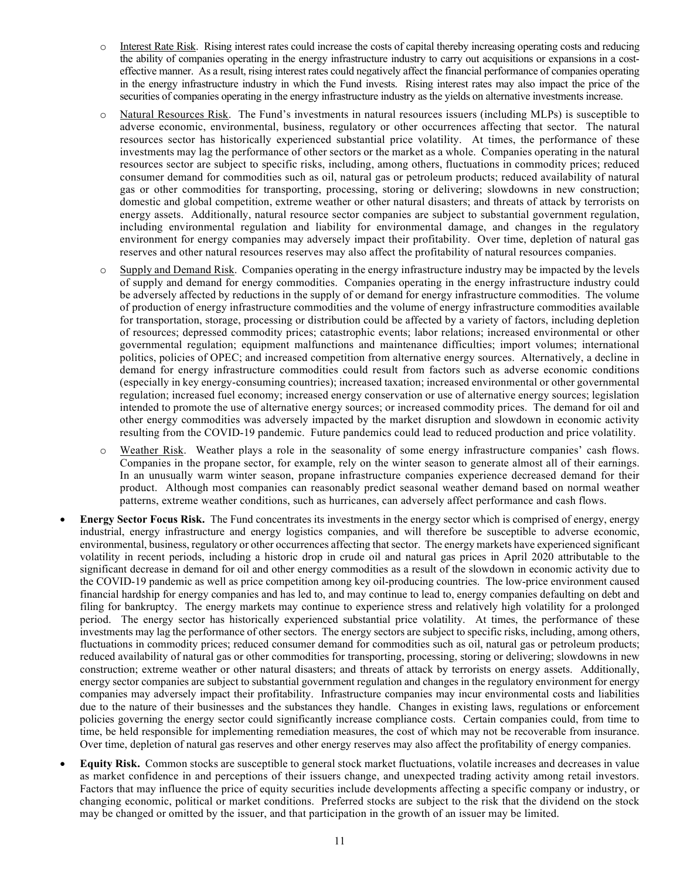- o Interest Rate Risk. Rising interest rates could increase the costs of capital thereby increasing operating costs and reducing the ability of companies operating in the energy infrastructure industry to carry out acquisitions or expansions in a costeffective manner. As a result, rising interest rates could negatively affect the financial performance of companies operating in the energy infrastructure industry in which the Fund invests. Rising interest rates may also impact the price of the securities of companies operating in the energy infrastructure industry as the yields on alternative investments increase.
- o Natural Resources Risk. The Fund's investments in natural resources issuers (including MLPs) is susceptible to adverse economic, environmental, business, regulatory or other occurrences affecting that sector. The natural resources sector has historically experienced substantial price volatility. At times, the performance of these investments may lag the performance of other sectors or the market as a whole. Companies operating in the natural resources sector are subject to specific risks, including, among others, fluctuations in commodity prices; reduced consumer demand for commodities such as oil, natural gas or petroleum products; reduced availability of natural gas or other commodities for transporting, processing, storing or delivering; slowdowns in new construction; domestic and global competition, extreme weather or other natural disasters; and threats of attack by terrorists on energy assets. Additionally, natural resource sector companies are subject to substantial government regulation, including environmental regulation and liability for environmental damage, and changes in the regulatory environment for energy companies may adversely impact their profitability. Over time, depletion of natural gas reserves and other natural resources reserves may also affect the profitability of natural resources companies.
- $\circ$  Supply and Demand Risk. Companies operating in the energy infrastructure industry may be impacted by the levels of supply and demand for energy commodities. Companies operating in the energy infrastructure industry could be adversely affected by reductions in the supply of or demand for energy infrastructure commodities. The volume of production of energy infrastructure commodities and the volume of energy infrastructure commodities available for transportation, storage, processing or distribution could be affected by a variety of factors, including depletion of resources; depressed commodity prices; catastrophic events; labor relations; increased environmental or other governmental regulation; equipment malfunctions and maintenance difficulties; import volumes; international politics, policies of OPEC; and increased competition from alternative energy sources. Alternatively, a decline in demand for energy infrastructure commodities could result from factors such as adverse economic conditions (especially in key energy-consuming countries); increased taxation; increased environmental or other governmental regulation; increased fuel economy; increased energy conservation or use of alternative energy sources; legislation intended to promote the use of alternative energy sources; or increased commodity prices. The demand for oil and other energy commodities was adversely impacted by the market disruption and slowdown in economic activity resulting from the COVID-19 pandemic. Future pandemics could lead to reduced production and price volatility.
- o Weather Risk. Weather plays a role in the seasonality of some energy infrastructure companies' cash flows. Companies in the propane sector, for example, rely on the winter season to generate almost all of their earnings. In an unusually warm winter season, propane infrastructure companies experience decreased demand for their product. Although most companies can reasonably predict seasonal weather demand based on normal weather patterns, extreme weather conditions, such as hurricanes, can adversely affect performance and cash flows.
- **Energy Sector Focus Risk.** The Fund concentrates its investments in the energy sector which is comprised of energy, energy industrial, energy infrastructure and energy logistics companies, and will therefore be susceptible to adverse economic, environmental, business, regulatory or other occurrences affecting that sector. The energy markets have experienced significant volatility in recent periods, including a historic drop in crude oil and natural gas prices in April 2020 attributable to the significant decrease in demand for oil and other energy commodities as a result of the slowdown in economic activity due to the COVID-19 pandemic as well as price competition among key oil-producing countries. The low-price environment caused financial hardship for energy companies and has led to, and may continue to lead to, energy companies defaulting on debt and filing for bankruptcy. The energy markets may continue to experience stress and relatively high volatility for a prolonged period. The energy sector has historically experienced substantial price volatility. At times, the performance of these investments may lag the performance of other sectors. The energy sectors are subject to specific risks, including, among others, fluctuations in commodity prices; reduced consumer demand for commodities such as oil, natural gas or petroleum products; reduced availability of natural gas or other commodities for transporting, processing, storing or delivering; slowdowns in new construction; extreme weather or other natural disasters; and threats of attack by terrorists on energy assets. Additionally, energy sector companies are subject to substantial government regulation and changes in the regulatory environment for energy companies may adversely impact their profitability. Infrastructure companies may incur environmental costs and liabilities due to the nature of their businesses and the substances they handle. Changes in existing laws, regulations or enforcement policies governing the energy sector could significantly increase compliance costs. Certain companies could, from time to time, be held responsible for implementing remediation measures, the cost of which may not be recoverable from insurance. Over time, depletion of natural gas reserves and other energy reserves may also affect the profitability of energy companies.
- **Equity Risk.** Common stocks are susceptible to general stock market fluctuations, volatile increases and decreases in value as market confidence in and perceptions of their issuers change, and unexpected trading activity among retail investors. Factors that may influence the price of equity securities include developments affecting a specific company or industry, or changing economic, political or market conditions. Preferred stocks are subject to the risk that the dividend on the stock may be changed or omitted by the issuer, and that participation in the growth of an issuer may be limited.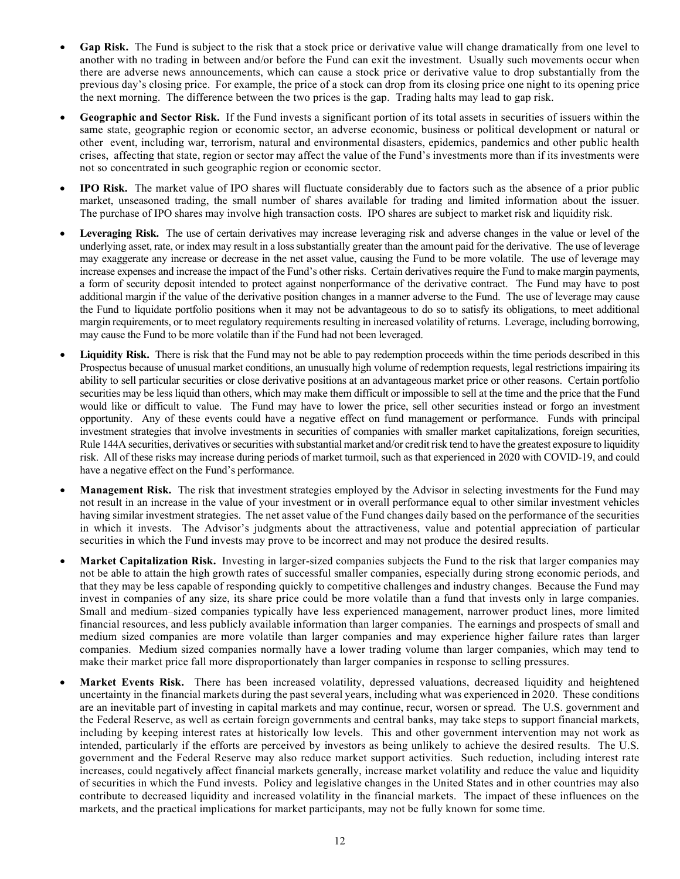- **Gap Risk.** The Fund is subject to the risk that a stock price or derivative value will change dramatically from one level to another with no trading in between and/or before the Fund can exit the investment. Usually such movements occur when there are adverse news announcements, which can cause a stock price or derivative value to drop substantially from the previous day's closing price. For example, the price of a stock can drop from its closing price one night to its opening price the next morning. The difference between the two prices is the gap. Trading halts may lead to gap risk.
- **Geographic and Sector Risk.** If the Fund invests a significant portion of its total assets in securities of issuers within the same state, geographic region or economic sector, an adverse economic, business or political development or natural or other event, including war, terrorism, natural and environmental disasters, epidemics, pandemics and other public health crises, affecting that state, region or sector may affect the value of the Fund's investments more than if its investments were not so concentrated in such geographic region or economic sector.
- **IPO Risk.** The market value of IPO shares will fluctuate considerably due to factors such as the absence of a prior public market, unseasoned trading, the small number of shares available for trading and limited information about the issuer. The purchase of IPO shares may involve high transaction costs. IPO shares are subject to market risk and liquidity risk.
- Leveraging Risk. The use of certain derivatives may increase leveraging risk and adverse changes in the value or level of the underlying asset, rate, or index may result in a losssubstantially greater than the amount paid for the derivative. The use of leverage may exaggerate any increase or decrease in the net asset value, causing the Fund to be more volatile. The use of leverage may increase expenses and increase the impact of the Fund's other risks. Certain derivatives require the Fund to make margin payments, a form of security deposit intended to protect against nonperformance of the derivative contract. The Fund may have to post additional margin if the value of the derivative position changes in a manner adverse to the Fund. The use of leverage may cause the Fund to liquidate portfolio positions when it may not be advantageous to do so to satisfy its obligations, to meet additional margin requirements, or to meet regulatory requirements resulting in increased volatility of returns. Leverage, including borrowing, may cause the Fund to be more volatile than if the Fund had not been leveraged.
- Liquidity Risk. There is risk that the Fund may not be able to pay redemption proceeds within the time periods described in this Prospectus because of unusual market conditions, an unusually high volume of redemption requests, legal restrictions impairing its ability to sell particular securities or close derivative positions at an advantageous market price or other reasons. Certain portfolio securities may be less liquid than others, which may make them difficult or impossible to sell at the time and the price that the Fund would like or difficult to value. The Fund may have to lower the price, sell other securities instead or forgo an investment opportunity. Any of these events could have a negative effect on fund management or performance. Funds with principal investment strategies that involve investments in securities of companies with smaller market capitalizations, foreign securities, Rule 144A securities, derivatives or securities with substantial market and/or credit risk tend to have the greatest exposure to liquidity risk. All of these risks may increase during periods of market turmoil, such as that experienced in 2020 with COVID-19, and could have a negative effect on the Fund's performance.
- **Management Risk.** The risk that investment strategies employed by the Advisor in selecting investments for the Fund may not result in an increase in the value of your investment or in overall performance equal to other similar investment vehicles having similar investment strategies. The net asset value of the Fund changes daily based on the performance of the securities in which it invests. The Advisor's judgments about the attractiveness, value and potential appreciation of particular securities in which the Fund invests may prove to be incorrect and may not produce the desired results.
- **Market Capitalization Risk.** Investing in larger-sized companies subjects the Fund to the risk that larger companies may not be able to attain the high growth rates of successful smaller companies, especially during strong economic periods, and that they may be less capable of responding quickly to competitive challenges and industry changes. Because the Fund may invest in companies of any size, its share price could be more volatile than a fund that invests only in large companies. Small and medium–sized companies typically have less experienced management, narrower product lines, more limited financial resources, and less publicly available information than larger companies. The earnings and prospects of small and medium sized companies are more volatile than larger companies and may experience higher failure rates than larger companies. Medium sized companies normally have a lower trading volume than larger companies, which may tend to make their market price fall more disproportionately than larger companies in response to selling pressures.
- **Market Events Risk.** There has been increased volatility, depressed valuations, decreased liquidity and heightened uncertainty in the financial markets during the past several years, including what was experienced in 2020. These conditions are an inevitable part of investing in capital markets and may continue, recur, worsen or spread. The U.S. government and the Federal Reserve, as well as certain foreign governments and central banks, may take steps to support financial markets, including by keeping interest rates at historically low levels. This and other government intervention may not work as intended, particularly if the efforts are perceived by investors as being unlikely to achieve the desired results. The U.S. government and the Federal Reserve may also reduce market support activities. Such reduction, including interest rate increases, could negatively affect financial markets generally, increase market volatility and reduce the value and liquidity of securities in which the Fund invests. Policy and legislative changes in the United States and in other countries may also contribute to decreased liquidity and increased volatility in the financial markets. The impact of these influences on the markets, and the practical implications for market participants, may not be fully known for some time.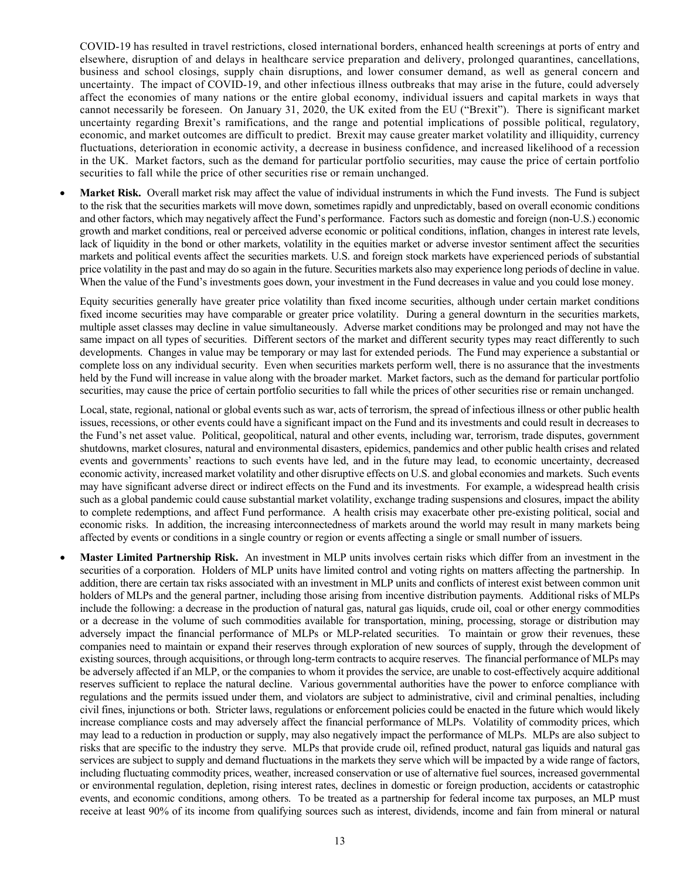COVID-19 has resulted in travel restrictions, closed international borders, enhanced health screenings at ports of entry and elsewhere, disruption of and delays in healthcare service preparation and delivery, prolonged quarantines, cancellations, business and school closings, supply chain disruptions, and lower consumer demand, as well as general concern and uncertainty. The impact of COVID-19, and other infectious illness outbreaks that may arise in the future, could adversely affect the economies of many nations or the entire global economy, individual issuers and capital markets in ways that cannot necessarily be foreseen. On January 31, 2020, the UK exited from the EU ("Brexit"). There is significant market uncertainty regarding Brexit's ramifications, and the range and potential implications of possible political, regulatory, economic, and market outcomes are difficult to predict. Brexit may cause greater market volatility and illiquidity, currency fluctuations, deterioration in economic activity, a decrease in business confidence, and increased likelihood of a recession in the UK. Market factors, such as the demand for particular portfolio securities, may cause the price of certain portfolio securities to fall while the price of other securities rise or remain unchanged.

**Market Risk.** Overall market risk may affect the value of individual instruments in which the Fund invests. The Fund is subject to the risk that the securities markets will move down, sometimes rapidly and unpredictably, based on overall economic conditions and other factors, which may negatively affect the Fund's performance. Factors such as domestic and foreign (non-U.S.) economic growth and market conditions, real or perceived adverse economic or political conditions, inflation, changes in interest rate levels, lack of liquidity in the bond or other markets, volatility in the equities market or adverse investor sentiment affect the securities markets and political events affect the securities markets. U.S. and foreign stock markets have experienced periods of substantial price volatility in the past and may do so again in the future. Securities markets also may experience long periods of decline in value. When the value of the Fund's investments goes down, your investment in the Fund decreases in value and you could lose money.

Equity securities generally have greater price volatility than fixed income securities, although under certain market conditions fixed income securities may have comparable or greater price volatility. During a general downturn in the securities markets, multiple asset classes may decline in value simultaneously. Adverse market conditions may be prolonged and may not have the same impact on all types of securities. Different sectors of the market and different security types may react differently to such developments. Changes in value may be temporary or may last for extended periods. The Fund may experience a substantial or complete loss on any individual security. Even when securities markets perform well, there is no assurance that the investments held by the Fund will increase in value along with the broader market. Market factors, such as the demand for particular portfolio securities, may cause the price of certain portfolio securities to fall while the prices of other securities rise or remain unchanged.

Local, state, regional, national or global events such as war, acts of terrorism, the spread of infectious illness or other public health issues, recessions, or other events could have a significant impact on the Fund and its investments and could result in decreases to the Fund's net asset value. Political, geopolitical, natural and other events, including war, terrorism, trade disputes, government shutdowns, market closures, natural and environmental disasters, epidemics, pandemics and other public health crises and related events and governments' reactions to such events have led, and in the future may lead, to economic uncertainty, decreased economic activity, increased market volatility and other disruptive effects on U.S. and global economies and markets. Such events may have significant adverse direct or indirect effects on the Fund and its investments. For example, a widespread health crisis such as a global pandemic could cause substantial market volatility, exchange trading suspensions and closures, impact the ability to complete redemptions, and affect Fund performance. A health crisis may exacerbate other pre-existing political, social and economic risks. In addition, the increasing interconnectedness of markets around the world may result in many markets being affected by events or conditions in a single country or region or events affecting a single or small number of issuers.

• **Master Limited Partnership Risk.** An investment in MLP units involves certain risks which differ from an investment in the securities of a corporation. Holders of MLP units have limited control and voting rights on matters affecting the partnership. In addition, there are certain tax risks associated with an investment in MLP units and conflicts of interest exist between common unit holders of MLPs and the general partner, including those arising from incentive distribution payments. Additional risks of MLPs include the following: a decrease in the production of natural gas, natural gas liquids, crude oil, coal or other energy commodities or a decrease in the volume of such commodities available for transportation, mining, processing, storage or distribution may adversely impact the financial performance of MLPs or MLP-related securities. To maintain or grow their revenues, these companies need to maintain or expand their reserves through exploration of new sources of supply, through the development of existing sources, through acquisitions, or through long-term contracts to acquire reserves. The financial performance of MLPs may be adversely affected if an MLP, or the companies to whom it provides the service, are unable to cost-effectively acquire additional reserves sufficient to replace the natural decline. Various governmental authorities have the power to enforce compliance with regulations and the permits issued under them, and violators are subject to administrative, civil and criminal penalties, including civil fines, injunctions or both. Stricter laws, regulations or enforcement policies could be enacted in the future which would likely increase compliance costs and may adversely affect the financial performance of MLPs. Volatility of commodity prices, which may lead to a reduction in production or supply, may also negatively impact the performance of MLPs. MLPs are also subject to risks that are specific to the industry they serve. MLPs that provide crude oil, refined product, natural gas liquids and natural gas services are subject to supply and demand fluctuations in the markets they serve which will be impacted by a wide range of factors, including fluctuating commodity prices, weather, increased conservation or use of alternative fuel sources, increased governmental or environmental regulation, depletion, rising interest rates, declines in domestic or foreign production, accidents or catastrophic events, and economic conditions, among others. To be treated as a partnership for federal income tax purposes, an MLP must receive at least 90% of its income from qualifying sources such as interest, dividends, income and fain from mineral or natural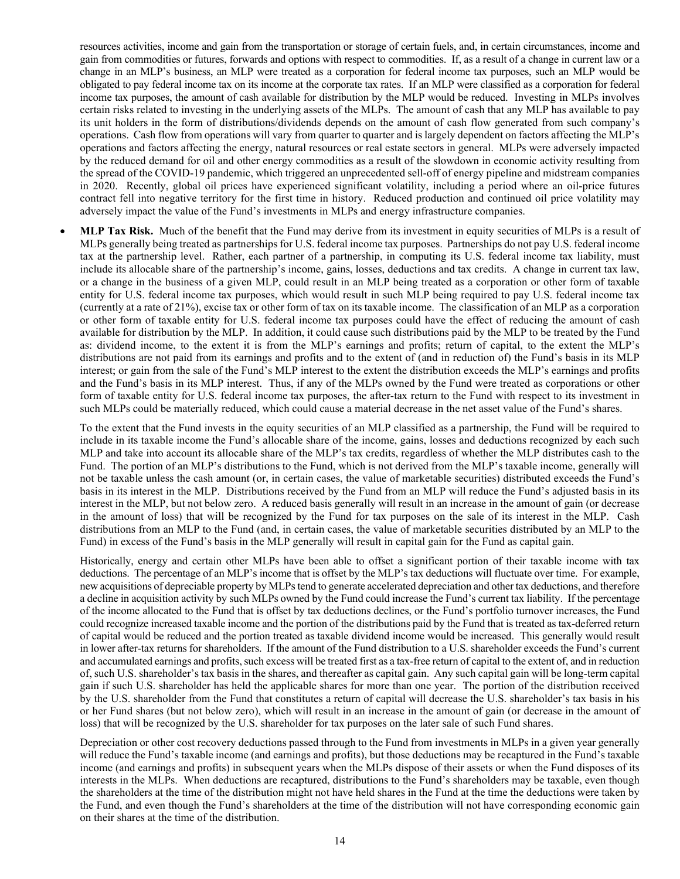resources activities, income and gain from the transportation or storage of certain fuels, and, in certain circumstances, income and gain from commodities or futures, forwards and options with respect to commodities. If, as a result of a change in current law or a change in an MLP's business, an MLP were treated as a corporation for federal income tax purposes, such an MLP would be obligated to pay federal income tax on its income at the corporate tax rates. If an MLP were classified as a corporation for federal income tax purposes, the amount of cash available for distribution by the MLP would be reduced. Investing in MLPs involves certain risks related to investing in the underlying assets of the MLPs. The amount of cash that any MLP has available to pay its unit holders in the form of distributions/dividends depends on the amount of cash flow generated from such company's operations. Cash flow from operations will vary from quarter to quarter and is largely dependent on factors affecting the MLP's operations and factors affecting the energy, natural resources or real estate sectors in general. MLPs were adversely impacted by the reduced demand for oil and other energy commodities as a result of the slowdown in economic activity resulting from the spread of the COVID-19 pandemic, which triggered an unprecedented sell-off of energy pipeline and midstream companies in 2020. Recently, global oil prices have experienced significant volatility, including a period where an oil-price futures contract fell into negative territory for the first time in history. Reduced production and continued oil price volatility may adversely impact the value of the Fund's investments in MLPs and energy infrastructure companies.

• **MLP Tax Risk.** Much of the benefit that the Fund may derive from its investment in equity securities of MLPs is a result of MLPs generally being treated as partnerships for U.S. federal income tax purposes. Partnerships do not pay U.S. federal income tax at the partnership level. Rather, each partner of a partnership, in computing its U.S. federal income tax liability, must include its allocable share of the partnership's income, gains, losses, deductions and tax credits. A change in current tax law, or a change in the business of a given MLP, could result in an MLP being treated as a corporation or other form of taxable entity for U.S. federal income tax purposes, which would result in such MLP being required to pay U.S. federal income tax (currently at a rate of 21%), excise tax or other form of tax on its taxable income. The classification of an MLP as a corporation or other form of taxable entity for U.S. federal income tax purposes could have the effect of reducing the amount of cash available for distribution by the MLP. In addition, it could cause such distributions paid by the MLP to be treated by the Fund as: dividend income, to the extent it is from the MLP's earnings and profits; return of capital, to the extent the MLP's distributions are not paid from its earnings and profits and to the extent of (and in reduction of) the Fund's basis in its MLP interest; or gain from the sale of the Fund's MLP interest to the extent the distribution exceeds the MLP's earnings and profits and the Fund's basis in its MLP interest. Thus, if any of the MLPs owned by the Fund were treated as corporations or other form of taxable entity for U.S. federal income tax purposes, the after-tax return to the Fund with respect to its investment in such MLPs could be materially reduced, which could cause a material decrease in the net asset value of the Fund's shares.

To the extent that the Fund invests in the equity securities of an MLP classified as a partnership, the Fund will be required to include in its taxable income the Fund's allocable share of the income, gains, losses and deductions recognized by each such MLP and take into account its allocable share of the MLP's tax credits, regardless of whether the MLP distributes cash to the Fund. The portion of an MLP's distributions to the Fund, which is not derived from the MLP's taxable income, generally will not be taxable unless the cash amount (or, in certain cases, the value of marketable securities) distributed exceeds the Fund's basis in its interest in the MLP. Distributions received by the Fund from an MLP will reduce the Fund's adjusted basis in its interest in the MLP, but not below zero. A reduced basis generally will result in an increase in the amount of gain (or decrease in the amount of loss) that will be recognized by the Fund for tax purposes on the sale of its interest in the MLP. Cash distributions from an MLP to the Fund (and, in certain cases, the value of marketable securities distributed by an MLP to the Fund) in excess of the Fund's basis in the MLP generally will result in capital gain for the Fund as capital gain.

Historically, energy and certain other MLPs have been able to offset a significant portion of their taxable income with tax deductions. The percentage of an MLP's income that is offset by the MLP's tax deductions will fluctuate over time. For example, new acquisitions of depreciable property by MLPs tend to generate accelerated depreciation and other tax deductions, and therefore a decline in acquisition activity by such MLPs owned by the Fund could increase the Fund's current tax liability. If the percentage of the income allocated to the Fund that is offset by tax deductions declines, or the Fund's portfolio turnover increases, the Fund could recognize increased taxable income and the portion of the distributions paid by the Fund that is treated as tax-deferred return of capital would be reduced and the portion treated as taxable dividend income would be increased. This generally would result in lower after-tax returns for shareholders. If the amount of the Fund distribution to a U.S. shareholder exceeds the Fund's current and accumulated earnings and profits, such excess will be treated first as a tax-free return of capital to the extent of, and in reduction of, such U.S. shareholder's tax basis in the shares, and thereafter as capital gain. Any such capital gain will be long-term capital gain if such U.S. shareholder has held the applicable shares for more than one year. The portion of the distribution received by the U.S. shareholder from the Fund that constitutes a return of capital will decrease the U.S. shareholder's tax basis in his or her Fund shares (but not below zero), which will result in an increase in the amount of gain (or decrease in the amount of loss) that will be recognized by the U.S. shareholder for tax purposes on the later sale of such Fund shares.

Depreciation or other cost recovery deductions passed through to the Fund from investments in MLPs in a given year generally will reduce the Fund's taxable income (and earnings and profits), but those deductions may be recaptured in the Fund's taxable income (and earnings and profits) in subsequent years when the MLPs dispose of their assets or when the Fund disposes of its interests in the MLPs. When deductions are recaptured, distributions to the Fund's shareholders may be taxable, even though the shareholders at the time of the distribution might not have held shares in the Fund at the time the deductions were taken by the Fund, and even though the Fund's shareholders at the time of the distribution will not have corresponding economic gain on their shares at the time of the distribution.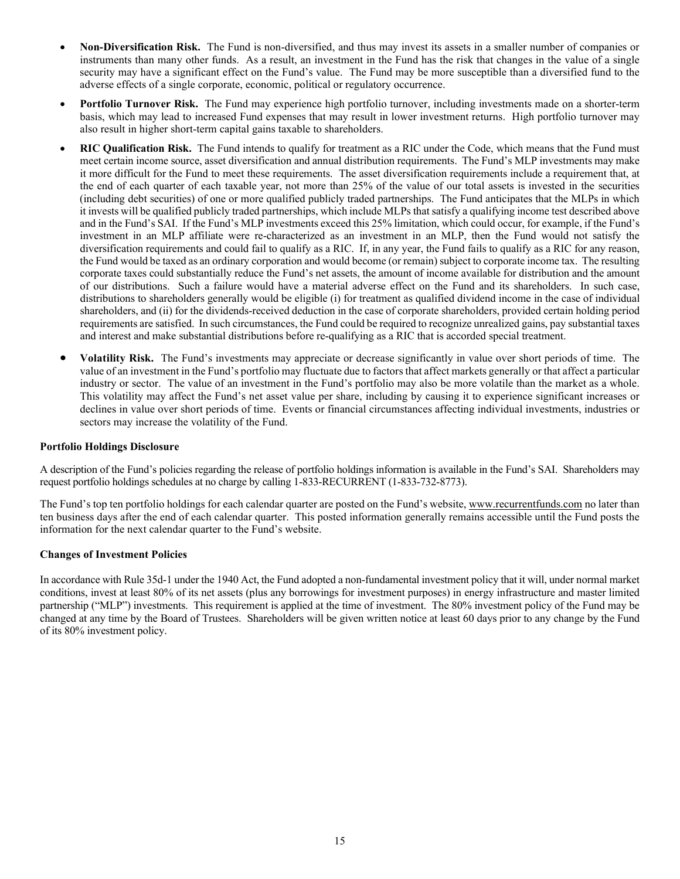- **Non-Diversification Risk.** The Fund is non-diversified, and thus may invest its assets in a smaller number of companies or instruments than many other funds. As a result, an investment in the Fund has the risk that changes in the value of a single security may have a significant effect on the Fund's value. The Fund may be more susceptible than a diversified fund to the adverse effects of a single corporate, economic, political or regulatory occurrence.
- **Portfolio Turnover Risk.** The Fund may experience high portfolio turnover, including investments made on a shorter-term basis, which may lead to increased Fund expenses that may result in lower investment returns. High portfolio turnover may also result in higher short-term capital gains taxable to shareholders.
- **RIC Qualification Risk.** The Fund intends to qualify for treatment as a RIC under the Code, which means that the Fund must meet certain income source, asset diversification and annual distribution requirements. The Fund's MLP investments may make it more difficult for the Fund to meet these requirements. The asset diversification requirements include a requirement that, at the end of each quarter of each taxable year, not more than 25% of the value of our total assets is invested in the securities (including debt securities) of one or more qualified publicly traded partnerships. The Fund anticipates that the MLPs in which it invests will be qualified publicly traded partnerships, which include MLPs that satisfy a qualifying income test described above and in the Fund's SAI. If the Fund's MLP investments exceed this 25% limitation, which could occur, for example, if the Fund's investment in an MLP affiliate were re-characterized as an investment in an MLP, then the Fund would not satisfy the diversification requirements and could fail to qualify as a RIC. If, in any year, the Fund fails to qualify as a RIC for any reason, the Fund would be taxed as an ordinary corporation and would become (or remain) subject to corporate income tax. The resulting corporate taxes could substantially reduce the Fund's net assets, the amount of income available for distribution and the amount of our distributions. Such a failure would have a material adverse effect on the Fund and its shareholders. In such case, distributions to shareholders generally would be eligible (i) for treatment as qualified dividend income in the case of individual shareholders, and (ii) for the dividends-received deduction in the case of corporate shareholders, provided certain holding period requirements are satisfied. In such circumstances, the Fund could be required to recognize unrealized gains, pay substantial taxes and interest and make substantial distributions before re-qualifying as a RIC that is accorded special treatment.
- **Volatility Risk.** The Fund's investments may appreciate or decrease significantly in value over short periods of time. The value of an investment in the Fund's portfolio may fluctuate due to factors that affect markets generally or that affect a particular industry or sector. The value of an investment in the Fund's portfolio may also be more volatile than the market as a whole. This volatility may affect the Fund's net asset value per share, including by causing it to experience significant increases or declines in value over short periods of time. Events or financial circumstances affecting individual investments, industries or sectors may increase the volatility of the Fund.

### **Portfolio Holdings Disclosure**

A description of the Fund's policies regarding the release of portfolio holdings information is available in the Fund's SAI. Shareholders may request portfolio holdings schedules at no charge by calling 1-833-RECURRENT (1-833-732-8773).

The Fund's top ten portfolio holdings for each calendar quarter are posted on the Fund's website, [www.recurrentfunds.com](http://www.recurrentfunds.com/) no later than ten business days after the end of each calendar quarter. This posted information generally remains accessible until the Fund posts the information for the next calendar quarter to the Fund's website.

#### **Changes of Investment Policies**

In accordance with Rule 35d-1 under the 1940 Act, the Fund adopted a non-fundamental investment policy that it will, under normal market conditions, invest at least 80% of its net assets (plus any borrowings for investment purposes) in energy infrastructure and master limited partnership ("MLP") investments. This requirement is applied at the time of investment. The 80% investment policy of the Fund may be changed at any time by the Board of Trustees. Shareholders will be given written notice at least 60 days prior to any change by the Fund of its 80% investment policy.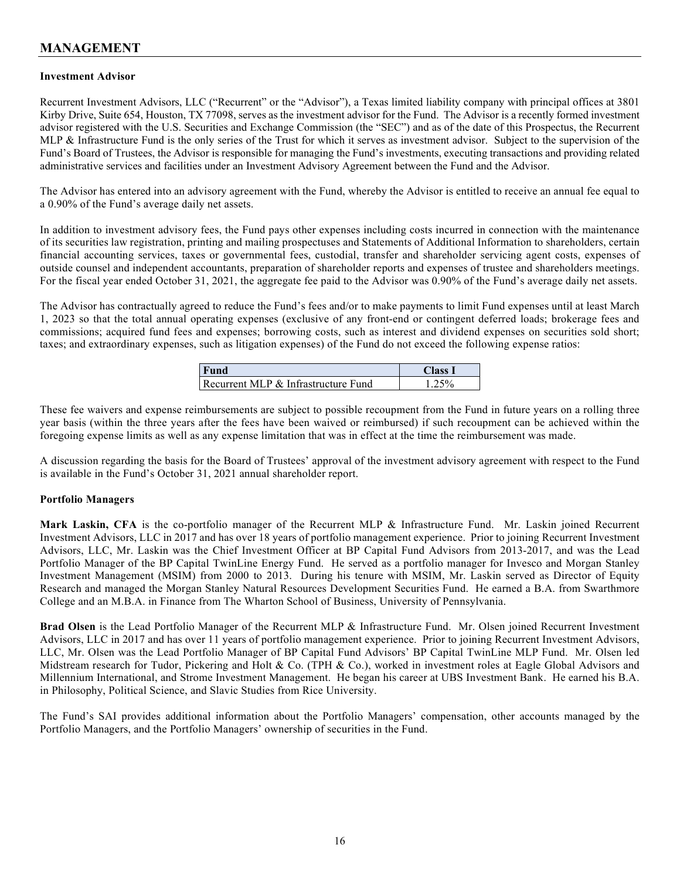# **MANAGEMENT**

### **Investment Advisor**

Recurrent Investment Advisors, LLC ("Recurrent" or the "Advisor"), a Texas limited liability company with principal offices at 3801 Kirby Drive, Suite 654, Houston, TX 77098, serves as the investment advisor for the Fund. The Advisor is a recently formed investment advisor registered with the U.S. Securities and Exchange Commission (the "SEC") and as of the date of this Prospectus, the Recurrent MLP & Infrastructure Fund is the only series of the Trust for which it serves as investment advisor. Subject to the supervision of the Fund's Board of Trustees, the Advisor is responsible for managing the Fund's investments, executing transactions and providing related administrative services and facilities under an Investment Advisory Agreement between the Fund and the Advisor.

The Advisor has entered into an advisory agreement with the Fund, whereby the Advisor is entitled to receive an annual fee equal to a 0.90% of the Fund's average daily net assets.

In addition to investment advisory fees, the Fund pays other expenses including costs incurred in connection with the maintenance of its securities law registration, printing and mailing prospectuses and Statements of Additional Information to shareholders, certain financial accounting services, taxes or governmental fees, custodial, transfer and shareholder servicing agent costs, expenses of outside counsel and independent accountants, preparation of shareholder reports and expenses of trustee and shareholders meetings. For the fiscal year ended October 31, 2021, the aggregate fee paid to the Advisor was 0.90% of the Fund's average daily net assets.

The Advisor has contractually agreed to reduce the Fund's fees and/or to make payments to limit Fund expenses until at least March 1, 2023 so that the total annual operating expenses (exclusive of any front-end or contingent deferred loads; brokerage fees and commissions; acquired fund fees and expenses; borrowing costs, such as interest and dividend expenses on securities sold short; taxes; and extraordinary expenses, such as litigation expenses) of the Fund do not exceed the following expense ratios:

| <b>Fund</b>                         | <b>Elass</b> |
|-------------------------------------|--------------|
| Recurrent MLP & Infrastructure Fund | 25%          |

These fee waivers and expense reimbursements are subject to possible recoupment from the Fund in future years on a rolling three year basis (within the three years after the fees have been waived or reimbursed) if such recoupment can be achieved within the foregoing expense limits as well as any expense limitation that was in effect at the time the reimbursement was made.

A discussion regarding the basis for the Board of Trustees' approval of the investment advisory agreement with respect to the Fund is available in the Fund's October 31, 2021 annual shareholder report.

### **Portfolio Managers**

**Mark Laskin, CFA** is the co-portfolio manager of the Recurrent MLP & Infrastructure Fund. Mr. Laskin joined Recurrent Investment Advisors, LLC in 2017 and has over 18 years of portfolio management experience. Prior to joining Recurrent Investment Advisors, LLC, Mr. Laskin was the Chief Investment Officer at BP Capital Fund Advisors from 2013-2017, and was the Lead Portfolio Manager of the BP Capital TwinLine Energy Fund. He served as a portfolio manager for Invesco and Morgan Stanley Investment Management (MSIM) from 2000 to 2013. During his tenure with MSIM, Mr. Laskin served as Director of Equity Research and managed the Morgan Stanley Natural Resources Development Securities Fund. He earned a B.A. from Swarthmore College and an M.B.A. in Finance from The Wharton School of Business, University of Pennsylvania.

**Brad Olsen** is the Lead Portfolio Manager of the Recurrent MLP & Infrastructure Fund. Mr. Olsen joined Recurrent Investment Advisors, LLC in 2017 and has over 11 years of portfolio management experience. Prior to joining Recurrent Investment Advisors, LLC, Mr. Olsen was the Lead Portfolio Manager of BP Capital Fund Advisors' BP Capital TwinLine MLP Fund. Mr. Olsen led Midstream research for Tudor, Pickering and Holt & Co. (TPH & Co.), worked in investment roles at Eagle Global Advisors and Millennium International, and Strome Investment Management. He began his career at UBS Investment Bank. He earned his B.A. in Philosophy, Political Science, and Slavic Studies from Rice University.

The Fund's SAI provides additional information about the Portfolio Managers' compensation, other accounts managed by the Portfolio Managers, and the Portfolio Managers' ownership of securities in the Fund.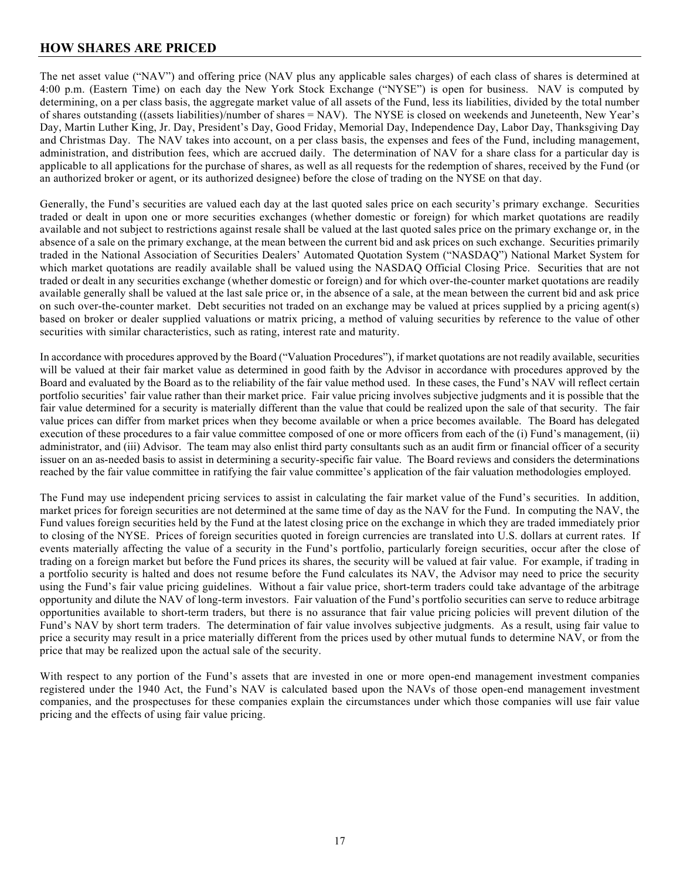## **HOW SHARES ARE PRICED**

The net asset value ("NAV") and offering price (NAV plus any applicable sales charges) of each class of shares is determined at 4:00 p.m. (Eastern Time) on each day the New York Stock Exchange ("NYSE") is open for business. NAV is computed by determining, on a per class basis, the aggregate market value of all assets of the Fund, less its liabilities, divided by the total number of shares outstanding ((assets liabilities)/number of shares = NAV). The NYSE is closed on weekends and Juneteenth, New Year's Day, Martin Luther King, Jr. Day, President's Day, Good Friday, Memorial Day, Independence Day, Labor Day, Thanksgiving Day and Christmas Day. The NAV takes into account, on a per class basis, the expenses and fees of the Fund, including management, administration, and distribution fees, which are accrued daily. The determination of NAV for a share class for a particular day is applicable to all applications for the purchase of shares, as well as all requests for the redemption of shares, received by the Fund (or an authorized broker or agent, or its authorized designee) before the close of trading on the NYSE on that day.

Generally, the Fund's securities are valued each day at the last quoted sales price on each security's primary exchange. Securities traded or dealt in upon one or more securities exchanges (whether domestic or foreign) for which market quotations are readily available and not subject to restrictions against resale shall be valued at the last quoted sales price on the primary exchange or, in the absence of a sale on the primary exchange, at the mean between the current bid and ask prices on such exchange. Securities primarily traded in the National Association of Securities Dealers' Automated Quotation System ("NASDAQ") National Market System for which market quotations are readily available shall be valued using the NASDAQ Official Closing Price. Securities that are not traded or dealt in any securities exchange (whether domestic or foreign) and for which over-the-counter market quotations are readily available generally shall be valued at the last sale price or, in the absence of a sale, at the mean between the current bid and ask price on such over-the-counter market. Debt securities not traded on an exchange may be valued at prices supplied by a pricing agent(s) based on broker or dealer supplied valuations or matrix pricing, a method of valuing securities by reference to the value of other securities with similar characteristics, such as rating, interest rate and maturity.

In accordance with procedures approved by the Board ("Valuation Procedures"), if market quotations are not readily available, securities will be valued at their fair market value as determined in good faith by the Advisor in accordance with procedures approved by the Board and evaluated by the Board as to the reliability of the fair value method used. In these cases, the Fund's NAV will reflect certain portfolio securities' fair value rather than their market price. Fair value pricing involves subjective judgments and it is possible that the fair value determined for a security is materially different than the value that could be realized upon the sale of that security. The fair value prices can differ from market prices when they become available or when a price becomes available. The Board has delegated execution of these procedures to a fair value committee composed of one or more officers from each of the (i) Fund's management, (ii) administrator, and (iii) Advisor. The team may also enlist third party consultants such as an audit firm or financial officer of a security issuer on an as-needed basis to assist in determining a security-specific fair value. The Board reviews and considers the determinations reached by the fair value committee in ratifying the fair value committee's application of the fair valuation methodologies employed.

The Fund may use independent pricing services to assist in calculating the fair market value of the Fund's securities. In addition, market prices for foreign securities are not determined at the same time of day as the NAV for the Fund. In computing the NAV, the Fund values foreign securities held by the Fund at the latest closing price on the exchange in which they are traded immediately prior to closing of the NYSE. Prices of foreign securities quoted in foreign currencies are translated into U.S. dollars at current rates. If events materially affecting the value of a security in the Fund's portfolio, particularly foreign securities, occur after the close of trading on a foreign market but before the Fund prices its shares, the security will be valued at fair value. For example, if trading in a portfolio security is halted and does not resume before the Fund calculates its NAV, the Advisor may need to price the security using the Fund's fair value pricing guidelines. Without a fair value price, short-term traders could take advantage of the arbitrage opportunity and dilute the NAV of long-term investors. Fair valuation of the Fund's portfolio securities can serve to reduce arbitrage opportunities available to short-term traders, but there is no assurance that fair value pricing policies will prevent dilution of the Fund's NAV by short term traders. The determination of fair value involves subjective judgments. As a result, using fair value to price a security may result in a price materially different from the prices used by other mutual funds to determine NAV, or from the price that may be realized upon the actual sale of the security.

With respect to any portion of the Fund's assets that are invested in one or more open-end management investment companies registered under the 1940 Act, the Fund's NAV is calculated based upon the NAVs of those open-end management investment companies, and the prospectuses for these companies explain the circumstances under which those companies will use fair value pricing and the effects of using fair value pricing.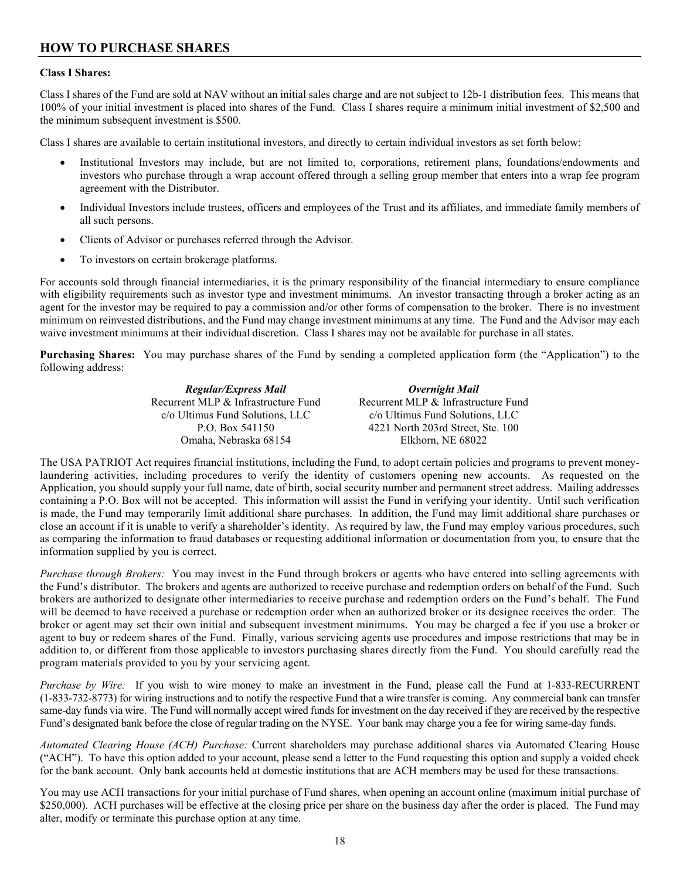# **HOW TO PURCHASE SHARES**

### **Class I Shares:**

Class I shares of the Fund are sold at NAV without an initial sales charge and are not subject to 12b-1 distribution fees. This means that 100% of your initial investment is placed into shares of the Fund. Class I shares require a minimum initial investment of \$2,500 and the minimum subsequent investment is \$500.

Class I shares are available to certain institutional investors, and directly to certain individual investors as set forth below:

- Institutional Investors may include, but are not limited to, corporations, retirement plans, foundations/endowments and investors who purchase through a wrap account offered through a selling group member that enters into a wrap fee program agreement with the Distributor.
- Individual Investors include trustees, officers and employees of the Trust and its affiliates, and immediate family members of all such persons.
- Clients of Advisor or purchases referred through the Advisor.
- To investors on certain brokerage platforms.

For accounts sold through financial intermediaries, it is the primary responsibility of the financial intermediary to ensure compliance with eligibility requirements such as investor type and investment minimums. An investor transacting through a broker acting as an agent for the investor may be required to pay a commission and/or other forms of compensation to the broker. There is no investment minimum on reinvested distributions, and the Fund may change investment minimums at any time. The Fund and the Advisor may each waive investment minimums at their individual discretion. Class I shares may not be available for purchase in all states.

**Purchasing Shares:** You may purchase shares of the Fund by sending a completed application form (the "Application") to the following address:

| <b>Regular/Express Mail</b>         | Overnight Mail                      |
|-------------------------------------|-------------------------------------|
| Recurrent MLP & Infrastructure Fund | Recurrent MLP & Infrastructure Fund |
| c/o Ultimus Fund Solutions, LLC     | c/o Ultimus Fund Solutions, LLC     |
| P.O. Box 541150                     | 4221 North 203rd Street, Ste. 100   |
| Omaha, Nebraska 68154               | Elkhorn, NE 68022                   |

The USA PATRIOT Act requires financial institutions, including the Fund, to adopt certain policies and programs to prevent moneylaundering activities, including procedures to verify the identity of customers opening new accounts. As requested on the Application, you should supply your full name, date of birth, social security number and permanent street address. Mailing addresses containing a P.O. Box will not be accepted. This information will assist the Fund in verifying your identity. Until such verification is made, the Fund may temporarily limit additional share purchases. In addition, the Fund may limit additional share purchases or close an account if it is unable to verify a shareholder's identity. As required by law, the Fund may employ various procedures, such as comparing the information to fraud databases or requesting additional information or documentation from you, to ensure that the information supplied by you is correct.

*Purchase through Brokers:* You may invest in the Fund through brokers or agents who have entered into selling agreements with the Fund's distributor. The brokers and agents are authorized to receive purchase and redemption orders on behalf of the Fund. Such brokers are authorized to designate other intermediaries to receive purchase and redemption orders on the Fund's behalf. The Fund will be deemed to have received a purchase or redemption order when an authorized broker or its designee receives the order. The broker or agent may set their own initial and subsequent investment minimums. You may be charged a fee if you use a broker or agent to buy or redeem shares of the Fund. Finally, various servicing agents use procedures and impose restrictions that may be in addition to, or different from those applicable to investors purchasing shares directly from the Fund. You should carefully read the program materials provided to you by your servicing agent.

*Purchase by Wire:* If you wish to wire money to make an investment in the Fund, please call the Fund at 1-833-RECURRENT (1-833-732-8773) for wiring instructions and to notify the respective Fund that a wire transfer is coming. Any commercial bank can transfer same-day funds via wire. The Fund will normally accept wired funds for investment on the day received if they are received by the respective Fund's designated bank before the close of regular trading on the NYSE. Your bank may charge you a fee for wiring same-day funds.

*Automated Clearing House (ACH) Purchase:* Current shareholders may purchase additional shares via Automated Clearing House ("ACH"). To have this option added to your account, please send a letter to the Fund requesting this option and supply a voided check for the bank account. Only bank accounts held at domestic institutions that are ACH members may be used for these transactions.

You may use ACH transactions for your initial purchase of Fund shares, when opening an account online (maximum initial purchase of \$250,000). ACH purchases will be effective at the closing price per share on the business day after the order is placed. The Fund may alter, modify or terminate this purchase option at any time.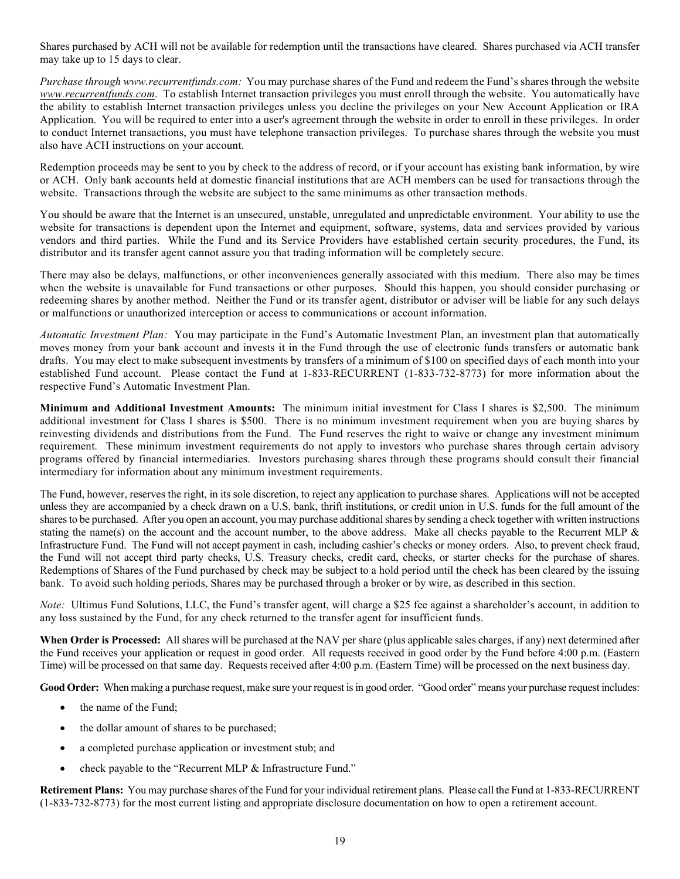Shares purchased by ACH will not be available for redemption until the transactions have cleared. Shares purchased via ACH transfer may take up to 15 days to clear.

*Purchase through [www.recurrentfunds.com:](http://www.recurrentfunds.com/)* You may purchase shares of the Fund and redeem the Fund's shares through the website *[www.recurrentfunds.com](http://www.recurrentfunds.com/)*. To establish Internet transaction privileges you must enroll through the website. You automatically have the ability to establish Internet transaction privileges unless you decline the privileges on your New Account Application or IRA Application. You will be required to enter into a user's agreement through the website in order to enroll in these privileges. In order to conduct Internet transactions, you must have telephone transaction privileges. To purchase shares through the website you must also have ACH instructions on your account.

Redemption proceeds may be sent to you by check to the address of record, or if your account has existing bank information, by wire or ACH. Only bank accounts held at domestic financial institutions that are ACH members can be used for transactions through the website. Transactions through the website are subject to the same minimums as other transaction methods.

You should be aware that the Internet is an unsecured, unstable, unregulated and unpredictable environment. Your ability to use the website for transactions is dependent upon the Internet and equipment, software, systems, data and services provided by various vendors and third parties. While the Fund and its Service Providers have established certain security procedures, the Fund, its distributor and its transfer agent cannot assure you that trading information will be completely secure.

There may also be delays, malfunctions, or other inconveniences generally associated with this medium. There also may be times when the website is unavailable for Fund transactions or other purposes. Should this happen, you should consider purchasing or redeeming shares by another method. Neither the Fund or its transfer agent, distributor or adviser will be liable for any such delays or malfunctions or unauthorized interception or access to communications or account information.

*Automatic Investment Plan:* You may participate in the Fund's Automatic Investment Plan, an investment plan that automatically moves money from your bank account and invests it in the Fund through the use of electronic funds transfers or automatic bank drafts. You may elect to make subsequent investments by transfers of a minimum of \$100 on specified days of each month into your established Fund account. Please contact the Fund at 1-833-RECURRENT (1-833-732-8773) for more information about the respective Fund's Automatic Investment Plan.

**Minimum and Additional Investment Amounts:** The minimum initial investment for Class I shares is \$2,500. The minimum additional investment for Class I shares is \$500. There is no minimum investment requirement when you are buying shares by reinvesting dividends and distributions from the Fund. The Fund reserves the right to waive or change any investment minimum requirement. These minimum investment requirements do not apply to investors who purchase shares through certain advisory programs offered by financial intermediaries. Investors purchasing shares through these programs should consult their financial intermediary for information about any minimum investment requirements.

The Fund, however, reserves the right, in its sole discretion, to reject any application to purchase shares. Applications will not be accepted unless they are accompanied by a check drawn on a U.S. bank, thrift institutions, or credit union in U.S. funds for the full amount of the sharesto be purchased. After you open an account, you may purchase additionalshares by sending a check together with written instructions stating the name(s) on the account and the account number, to the above address. Make all checks payable to the Recurrent MLP & Infrastructure Fund. The Fund will not accept payment in cash, including cashier's checks or money orders. Also, to prevent check fraud, the Fund will not accept third party checks, U.S. Treasury checks, credit card, checks, or starter checks for the purchase of shares. Redemptions of Shares of the Fund purchased by check may be subject to a hold period until the check has been cleared by the issuing bank. To avoid such holding periods, Shares may be purchased through a broker or by wire, as described in this section.

*Note:* Ultimus Fund Solutions, LLC, the Fund's transfer agent, will charge a \$25 fee against a shareholder's account, in addition to any loss sustained by the Fund, for any check returned to the transfer agent for insufficient funds.

**When Order is Processed:** All shares will be purchased at the NAV per share (plus applicable sales charges, if any) next determined after the Fund receives your application or request in good order. All requests received in good order by the Fund before 4:00 p.m. (Eastern Time) will be processed on that same day. Requests received after 4:00 p.m. (Eastern Time) will be processed on the next business day.

Good Order: When making a purchase request, make sure your request is in good order. "Good order" means your purchase request includes:

- the name of the Fund;
- the dollar amount of shares to be purchased;
- a completed purchase application or investment stub; and
- check payable to the "Recurrent MLP & Infrastructure Fund."

**Retirement Plans:** You may purchase shares of the Fund for your individual retirement plans. Please call the Fund at 1-833-RECURRENT (1-833-732-8773) for the most current listing and appropriate disclosure documentation on how to open a retirement account.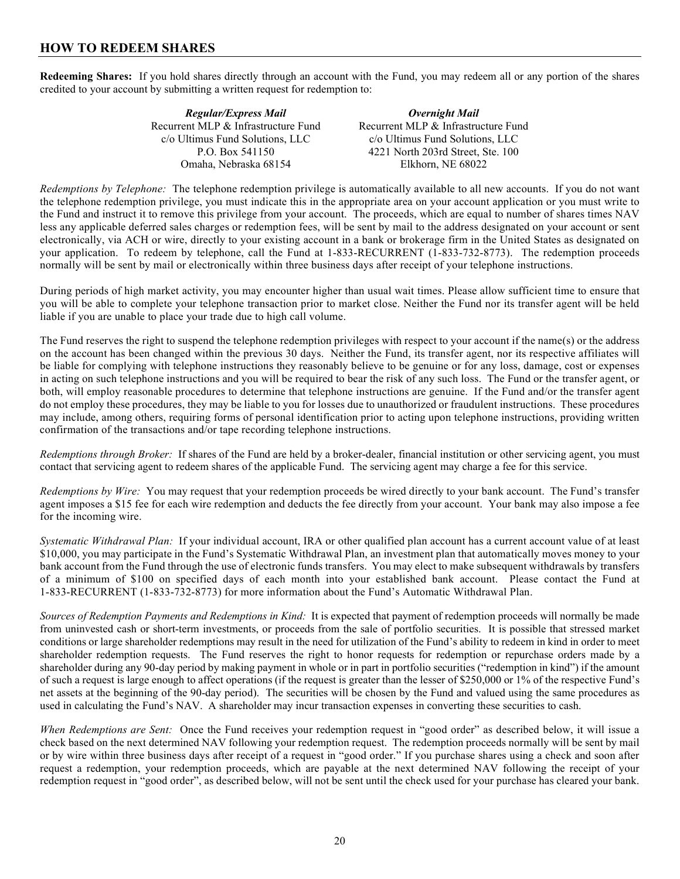### **HOW TO REDEEM SHARES**

**Redeeming Shares:** If you hold shares directly through an account with the Fund, you may redeem all or any portion of the shares credited to your account by submitting a written request for redemption to:

| Regular/Express Mail                | Overnight Mail                      |
|-------------------------------------|-------------------------------------|
| Recurrent MLP & Infrastructure Fund | Recurrent MLP & Infrastructure Fund |
| c/o Ultimus Fund Solutions, LLC     | c/o Ultimus Fund Solutions, LLC     |
| P.O. Box 541150                     | 4221 North 203rd Street, Ste. 100   |
| Omaha, Nebraska 68154               | Elkhorn, NE 68022                   |

*Redemptions by Telephone:* The telephone redemption privilege is automatically available to all new accounts. If you do not want the telephone redemption privilege, you must indicate this in the appropriate area on your account application or you must write to the Fund and instruct it to remove this privilege from your account. The proceeds, which are equal to number of shares times NAV less any applicable deferred sales charges or redemption fees, will be sent by mail to the address designated on your account or sent electronically, via ACH or wire, directly to your existing account in a bank or brokerage firm in the United States as designated on your application. To redeem by telephone, call the Fund at 1-833-RECURRENT (1-833-732-8773). The redemption proceeds normally will be sent by mail or electronically within three business days after receipt of your telephone instructions.

During periods of high market activity, you may encounter higher than usual wait times. Please allow sufficient time to ensure that you will be able to complete your telephone transaction prior to market close. Neither the Fund nor its transfer agent will be held liable if you are unable to place your trade due to high call volume.

The Fund reserves the right to suspend the telephone redemption privileges with respect to your account if the name(s) or the address on the account has been changed within the previous 30 days. Neither the Fund, its transfer agent, nor its respective affiliates will be liable for complying with telephone instructions they reasonably believe to be genuine or for any loss, damage, cost or expenses in acting on such telephone instructions and you will be required to bear the risk of any such loss. The Fund or the transfer agent, or both, will employ reasonable procedures to determine that telephone instructions are genuine. If the Fund and/or the transfer agent do not employ these procedures, they may be liable to you for losses due to unauthorized or fraudulent instructions. These procedures may include, among others, requiring forms of personal identification prior to acting upon telephone instructions, providing written confirmation of the transactions and/or tape recording telephone instructions.

*Redemptions through Broker:* If shares of the Fund are held by a broker-dealer, financial institution or other servicing agent, you must contact that servicing agent to redeem shares of the applicable Fund. The servicing agent may charge a fee for this service.

*Redemptions by Wire:* You may request that your redemption proceeds be wired directly to your bank account. The Fund's transfer agent imposes a \$15 fee for each wire redemption and deducts the fee directly from your account. Your bank may also impose a fee for the incoming wire.

*Systematic Withdrawal Plan:* If your individual account, IRA or other qualified plan account has a current account value of at least \$10,000, you may participate in the Fund's Systematic Withdrawal Plan, an investment plan that automatically moves money to your bank account from the Fund through the use of electronic funds transfers. You may elect to make subsequent withdrawals by transfers of a minimum of \$100 on specified days of each month into your established bank account. Please contact the Fund at 1-833-RECURRENT (1-833-732-8773) for more information about the Fund's Automatic Withdrawal Plan.

*Sources of Redemption Payments and Redemptions in Kind:* It is expected that payment of redemption proceeds will normally be made from uninvested cash or short-term investments, or proceeds from the sale of portfolio securities. It is possible that stressed market conditions or large shareholder redemptions may result in the need for utilization of the Fund's ability to redeem in kind in order to meet shareholder redemption requests. The Fund reserves the right to honor requests for redemption or repurchase orders made by a shareholder during any 90-day period by making payment in whole or in part in portfolio securities ("redemption in kind") if the amount of such a request is large enough to affect operations (if the request is greater than the lesser of \$250,000 or 1% of the respective Fund's net assets at the beginning of the 90-day period). The securities will be chosen by the Fund and valued using the same procedures as used in calculating the Fund's NAV. A shareholder may incur transaction expenses in converting these securities to cash.

*When Redemptions are Sent:* Once the Fund receives your redemption request in "good order" as described below, it will issue a check based on the next determined NAV following your redemption request. The redemption proceeds normally will be sent by mail or by wire within three business days after receipt of a request in "good order." If you purchase shares using a check and soon after request a redemption, your redemption proceeds, which are payable at the next determined NAV following the receipt of your redemption request in "good order", as described below, will not be sent until the check used for your purchase has cleared your bank.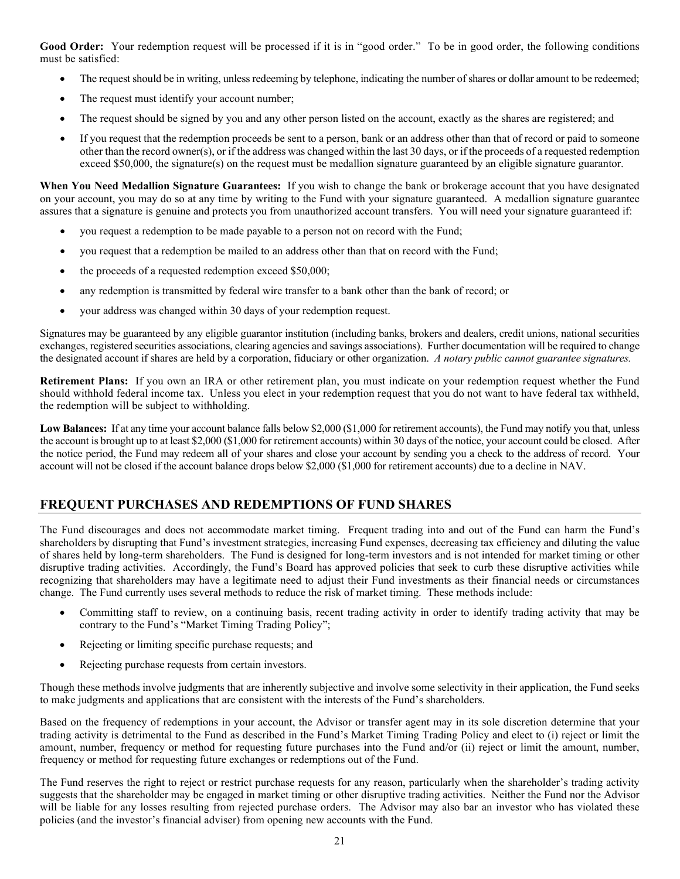Good Order: Your redemption request will be processed if it is in "good order." To be in good order, the following conditions must be satisfied:

- The request should be in writing, unless redeeming by telephone, indicating the number of shares or dollar amount to be redeemed;
- The request must identify your account number;
- The request should be signed by you and any other person listed on the account, exactly as the shares are registered; and
- If you request that the redemption proceeds be sent to a person, bank or an address other than that of record or paid to someone other than the record owner(s), or if the address was changed within the last 30 days, or if the proceeds of a requested redemption exceed \$50,000, the signature(s) on the request must be medallion signature guaranteed by an eligible signature guarantor.

**When You Need Medallion Signature Guarantees:** If you wish to change the bank or brokerage account that you have designated on your account, you may do so at any time by writing to the Fund with your signature guaranteed. A medallion signature guarantee assures that a signature is genuine and protects you from unauthorized account transfers. You will need your signature guaranteed if:

- you request a redemption to be made payable to a person not on record with the Fund;
- you request that a redemption be mailed to an address other than that on record with the Fund;
- the proceeds of a requested redemption exceed \$50,000;
- any redemption is transmitted by federal wire transfer to a bank other than the bank of record; or
- your address was changed within 30 days of your redemption request.

Signatures may be guaranteed by any eligible guarantor institution (including banks, brokers and dealers, credit unions, national securities exchanges, registered securities associations, clearing agencies and savings associations). Further documentation will be required to change the designated account if shares are held by a corporation, fiduciary or other organization. *A notary public cannot guarantee signatures.*

**Retirement Plans:** If you own an IRA or other retirement plan, you must indicate on your redemption request whether the Fund should withhold federal income tax. Unless you elect in your redemption request that you do not want to have federal tax withheld, the redemption will be subject to withholding.

Low Balances: If at any time your account balance falls below \$2,000 (\$1,000 for retirement accounts), the Fund may notify you that, unless the account is brought up to at least \$2,000 (\$1,000 for retirement accounts) within 30 days of the notice, your account could be closed. After the notice period, the Fund may redeem all of your shares and close your account by sending you a check to the address of record. Your account will not be closed if the account balance drops below \$2,000 (\$1,000 for retirement accounts) due to a decline in NAV.

## **FREQUENT PURCHASES AND REDEMPTIONS OF FUND SHARES**

The Fund discourages and does not accommodate market timing. Frequent trading into and out of the Fund can harm the Fund's shareholders by disrupting that Fund's investment strategies, increasing Fund expenses, decreasing tax efficiency and diluting the value of shares held by long-term shareholders. The Fund is designed for long-term investors and is not intended for market timing or other disruptive trading activities. Accordingly, the Fund's Board has approved policies that seek to curb these disruptive activities while recognizing that shareholders may have a legitimate need to adjust their Fund investments as their financial needs or circumstances change. The Fund currently uses several methods to reduce the risk of market timing. These methods include:

- Committing staff to review, on a continuing basis, recent trading activity in order to identify trading activity that may be contrary to the Fund's "Market Timing Trading Policy";
- Rejecting or limiting specific purchase requests; and
- Rejecting purchase requests from certain investors.

Though these methods involve judgments that are inherently subjective and involve some selectivity in their application, the Fund seeks to make judgments and applications that are consistent with the interests of the Fund's shareholders.

Based on the frequency of redemptions in your account, the Advisor or transfer agent may in its sole discretion determine that your trading activity is detrimental to the Fund as described in the Fund's Market Timing Trading Policy and elect to (i) reject or limit the amount, number, frequency or method for requesting future purchases into the Fund and/or (ii) reject or limit the amount, number, frequency or method for requesting future exchanges or redemptions out of the Fund.

The Fund reserves the right to reject or restrict purchase requests for any reason, particularly when the shareholder's trading activity suggests that the shareholder may be engaged in market timing or other disruptive trading activities. Neither the Fund nor the Advisor will be liable for any losses resulting from rejected purchase orders. The Advisor may also bar an investor who has violated these policies (and the investor's financial adviser) from opening new accounts with the Fund.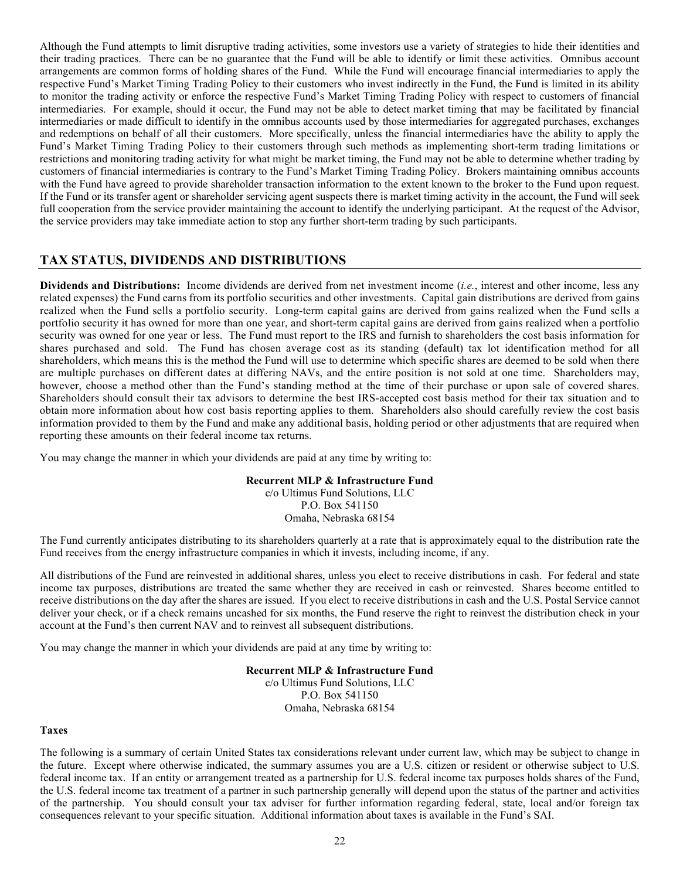Although the Fund attempts to limit disruptive trading activities, some investors use a variety of strategies to hide their identities and their trading practices. There can be no guarantee that the Fund will be able to identify or limit these activities. Omnibus account arrangements are common forms of holding shares of the Fund. While the Fund will encourage financial intermediaries to apply the respective Fund's Market Timing Trading Policy to their customers who invest indirectly in the Fund, the Fund is limited in its ability to monitor the trading activity or enforce the respective Fund's Market Timing Trading Policy with respect to customers of financial intermediaries. For example, should it occur, the Fund may not be able to detect market timing that may be facilitated by financial intermediaries or made difficult to identify in the omnibus accounts used by those intermediaries for aggregated purchases, exchanges and redemptions on behalf of all their customers. More specifically, unless the financial intermediaries have the ability to apply the Fund's Market Timing Trading Policy to their customers through such methods as implementing short-term trading limitations or restrictions and monitoring trading activity for what might be market timing, the Fund may not be able to determine whether trading by customers of financial intermediaries is contrary to the Fund's Market Timing Trading Policy. Brokers maintaining omnibus accounts with the Fund have agreed to provide shareholder transaction information to the extent known to the broker to the Fund upon request. If the Fund or its transfer agent or shareholder servicing agent suspects there is market timing activity in the account, the Fund will seek full cooperation from the service provider maintaining the account to identify the underlying participant. At the request of the Advisor, the service providers may take immediate action to stop any further short-term trading by such participants.

### **TAX STATUS, DIVIDENDS AND DISTRIBUTIONS**

**Dividends and Distributions:** Income dividends are derived from net investment income (*i.e.*, interest and other income, less any related expenses) the Fund earns from its portfolio securities and other investments. Capital gain distributions are derived from gains realized when the Fund sells a portfolio security. Long-term capital gains are derived from gains realized when the Fund sells a portfolio security it has owned for more than one year, and short-term capital gains are derived from gains realized when a portfolio security was owned for one year or less. The Fund must report to the IRS and furnish to shareholders the cost basis information for shares purchased and sold. The Fund has chosen average cost as its standing (default) tax lot identification method for all shareholders, which means this is the method the Fund will use to determine which specific shares are deemed to be sold when there are multiple purchases on different dates at differing NAVs, and the entire position is not sold at one time. Shareholders may, however, choose a method other than the Fund's standing method at the time of their purchase or upon sale of covered shares. Shareholders should consult their tax advisors to determine the best IRS-accepted cost basis method for their tax situation and to obtain more information about how cost basis reporting applies to them. Shareholders also should carefully review the cost basis information provided to them by the Fund and make any additional basis, holding period or other adjustments that are required when reporting these amounts on their federal income tax returns.

You may change the manner in which your dividends are paid at any time by writing to:

### **Recurrent MLP & Infrastructure Fund**

c/o Ultimus Fund Solutions, LLC P.O. Box 541150 Omaha, Nebraska 68154

The Fund currently anticipates distributing to its shareholders quarterly at a rate that is approximately equal to the distribution rate the Fund receives from the energy infrastructure companies in which it invests, including income, if any.

All distributions of the Fund are reinvested in additional shares, unless you elect to receive distributions in cash. For federal and state income tax purposes, distributions are treated the same whether they are received in cash or reinvested. Shares become entitled to receive distributions on the day after the shares are issued. If you elect to receive distributions in cash and the U.S. Postal Service cannot deliver your check, or if a check remains uncashed for six months, the Fund reserve the right to reinvest the distribution check in your account at the Fund's then current NAV and to reinvest all subsequent distributions.

You may change the manner in which your dividends are paid at any time by writing to:

### **Recurrent MLP & Infrastructure Fund**

c/o Ultimus Fund Solutions, LLC P.O. Box 541150 Omaha, Nebraska 68154

#### **Taxes**

The following is a summary of certain United States tax considerations relevant under current law, which may be subject to change in the future. Except where otherwise indicated, the summary assumes you are a U.S. citizen or resident or otherwise subject to U.S. federal income tax. If an entity or arrangement treated as a partnership for U.S. federal income tax purposes holds shares of the Fund, the U.S. federal income tax treatment of a partner in such partnership generally will depend upon the status of the partner and activities of the partnership. You should consult your tax adviser for further information regarding federal, state, local and/or foreign tax consequences relevant to your specific situation. Additional information about taxes is available in the Fund's SAI.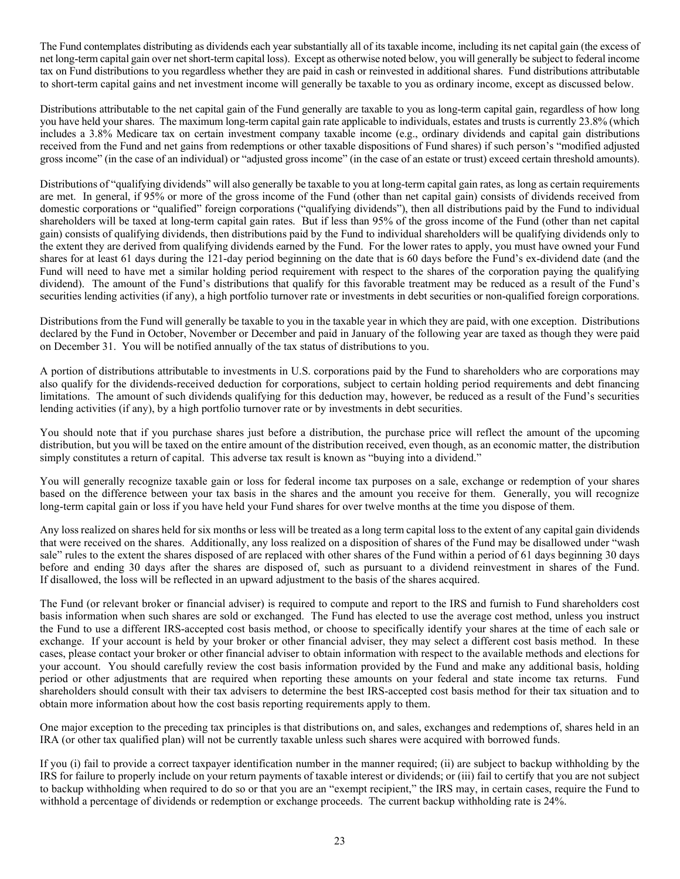The Fund contemplates distributing as dividends each year substantially all of its taxable income, including its net capital gain (the excess of net long-term capital gain over netshort-term capital loss). Except as otherwise noted below, you will generally be subject to federal income tax on Fund distributions to you regardless whether they are paid in cash or reinvested in additional shares. Fund distributions attributable to short-term capital gains and net investment income will generally be taxable to you as ordinary income, except as discussed below.

Distributions attributable to the net capital gain of the Fund generally are taxable to you as long-term capital gain, regardless of how long you have held your shares. The maximum long-term capital gain rate applicable to individuals, estates and trusts is currently 23.8% (which includes a 3.8% Medicare tax on certain investment company taxable income (e.g., ordinary dividends and capital gain distributions received from the Fund and net gains from redemptions or other taxable dispositions of Fund shares) if such person's "modified adjusted gross income" (in the case of an individual) or "adjusted gross income" (in the case of an estate or trust) exceed certain threshold amounts).

Distributions of "qualifying dividends" will also generally be taxable to you at long-term capital gain rates, as long as certain requirements are met. In general, if 95% or more of the gross income of the Fund (other than net capital gain) consists of dividends received from domestic corporations or "qualified" foreign corporations ("qualifying dividends"), then all distributions paid by the Fund to individual shareholders will be taxed at long-term capital gain rates. But if less than 95% of the gross income of the Fund (other than net capital gain) consists of qualifying dividends, then distributions paid by the Fund to individual shareholders will be qualifying dividends only to the extent they are derived from qualifying dividends earned by the Fund. For the lower rates to apply, you must have owned your Fund shares for at least 61 days during the 121-day period beginning on the date that is 60 days before the Fund's ex-dividend date (and the Fund will need to have met a similar holding period requirement with respect to the shares of the corporation paying the qualifying dividend). The amount of the Fund's distributions that qualify for this favorable treatment may be reduced as a result of the Fund's securities lending activities (if any), a high portfolio turnover rate or investments in debt securities or non-qualified foreign corporations.

Distributions from the Fund will generally be taxable to you in the taxable year in which they are paid, with one exception. Distributions declared by the Fund in October, November or December and paid in January of the following year are taxed as though they were paid on December 31. You will be notified annually of the tax status of distributions to you.

A portion of distributions attributable to investments in U.S. corporations paid by the Fund to shareholders who are corporations may also qualify for the dividends-received deduction for corporations, subject to certain holding period requirements and debt financing limitations. The amount of such dividends qualifying for this deduction may, however, be reduced as a result of the Fund's securities lending activities (if any), by a high portfolio turnover rate or by investments in debt securities.

You should note that if you purchase shares just before a distribution, the purchase price will reflect the amount of the upcoming distribution, but you will be taxed on the entire amount of the distribution received, even though, as an economic matter, the distribution simply constitutes a return of capital. This adverse tax result is known as "buying into a dividend."

You will generally recognize taxable gain or loss for federal income tax purposes on a sale, exchange or redemption of your shares based on the difference between your tax basis in the shares and the amount you receive for them. Generally, you will recognize long-term capital gain or loss if you have held your Fund shares for over twelve months at the time you dispose of them.

Any loss realized on shares held for six months or less will be treated as a long term capital loss to the extent of any capital gain dividends that were received on the shares. Additionally, any loss realized on a disposition of shares of the Fund may be disallowed under "wash sale" rules to the extent the shares disposed of are replaced with other shares of the Fund within a period of 61 days beginning 30 days before and ending 30 days after the shares are disposed of, such as pursuant to a dividend reinvestment in shares of the Fund. If disallowed, the loss will be reflected in an upward adjustment to the basis of the shares acquired.

The Fund (or relevant broker or financial adviser) is required to compute and report to the IRS and furnish to Fund shareholders cost basis information when such shares are sold or exchanged. The Fund has elected to use the average cost method, unless you instruct the Fund to use a different IRS-accepted cost basis method, or choose to specifically identify your shares at the time of each sale or exchange. If your account is held by your broker or other financial adviser, they may select a different cost basis method. In these cases, please contact your broker or other financial adviser to obtain information with respect to the available methods and elections for your account. You should carefully review the cost basis information provided by the Fund and make any additional basis, holding period or other adjustments that are required when reporting these amounts on your federal and state income tax returns. Fund shareholders should consult with their tax advisers to determine the best IRS-accepted cost basis method for their tax situation and to obtain more information about how the cost basis reporting requirements apply to them.

One major exception to the preceding tax principles is that distributions on, and sales, exchanges and redemptions of, shares held in an IRA (or other tax qualified plan) will not be currently taxable unless such shares were acquired with borrowed funds.

If you (i) fail to provide a correct taxpayer identification number in the manner required; (ii) are subject to backup withholding by the IRS for failure to properly include on your return payments of taxable interest or dividends; or (iii) fail to certify that you are not subject to backup withholding when required to do so or that you are an "exempt recipient," the IRS may, in certain cases, require the Fund to withhold a percentage of dividends or redemption or exchange proceeds. The current backup withholding rate is 24%.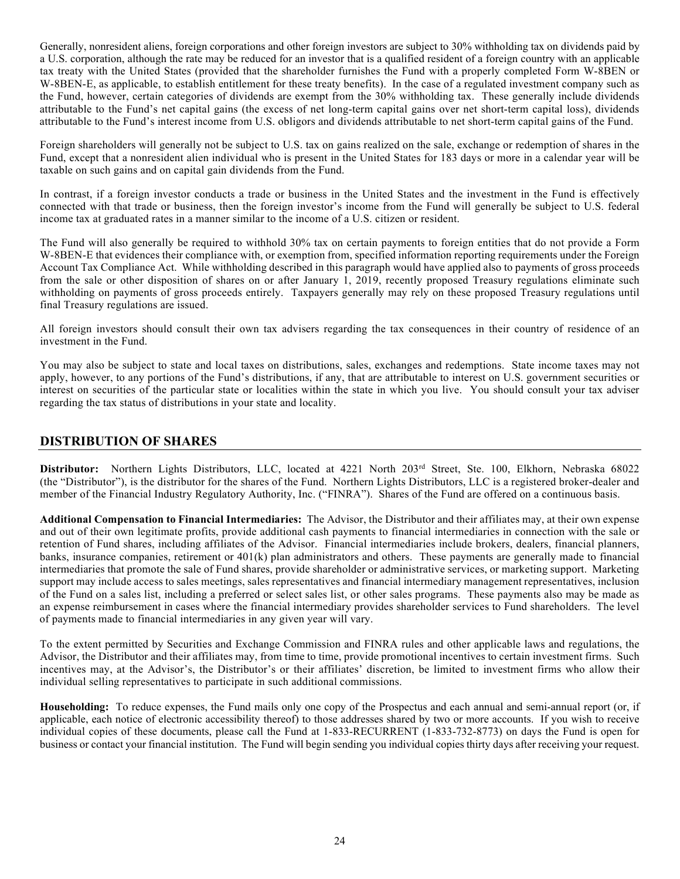Generally, nonresident aliens, foreign corporations and other foreign investors are subject to 30% withholding tax on dividends paid by a U.S. corporation, although the rate may be reduced for an investor that is a qualified resident of a foreign country with an applicable tax treaty with the United States (provided that the shareholder furnishes the Fund with a properly completed Form W-8BEN or W-8BEN-E, as applicable, to establish entitlement for these treaty benefits). In the case of a regulated investment company such as the Fund, however, certain categories of dividends are exempt from the 30% withholding tax. These generally include dividends attributable to the Fund's net capital gains (the excess of net long-term capital gains over net short-term capital loss), dividends attributable to the Fund's interest income from U.S. obligors and dividends attributable to net short-term capital gains of the Fund.

Foreign shareholders will generally not be subject to U.S. tax on gains realized on the sale, exchange or redemption of shares in the Fund, except that a nonresident alien individual who is present in the United States for 183 days or more in a calendar year will be taxable on such gains and on capital gain dividends from the Fund.

In contrast, if a foreign investor conducts a trade or business in the United States and the investment in the Fund is effectively connected with that trade or business, then the foreign investor's income from the Fund will generally be subject to U.S. federal income tax at graduated rates in a manner similar to the income of a U.S. citizen or resident.

The Fund will also generally be required to withhold 30% tax on certain payments to foreign entities that do not provide a Form W-8BEN-E that evidences their compliance with, or exemption from, specified information reporting requirements under the Foreign Account Tax Compliance Act. While withholding described in this paragraph would have applied also to payments of gross proceeds from the sale or other disposition of shares on or after January 1, 2019, recently proposed Treasury regulations eliminate such withholding on payments of gross proceeds entirely. Taxpayers generally may rely on these proposed Treasury regulations until final Treasury regulations are issued.

All foreign investors should consult their own tax advisers regarding the tax consequences in their country of residence of an investment in the Fund.

You may also be subject to state and local taxes on distributions, sales, exchanges and redemptions. State income taxes may not apply, however, to any portions of the Fund's distributions, if any, that are attributable to interest on U.S. government securities or interest on securities of the particular state or localities within the state in which you live. You should consult your tax adviser regarding the tax status of distributions in your state and locality.

### **DISTRIBUTION OF SHARES**

Distributor: Northern Lights Distributors, LLC, located at 4221 North 203<sup>rd</sup> Street, Ste. 100, Elkhorn, Nebraska 68022 (the "Distributor"), is the distributor for the shares of the Fund. Northern Lights Distributors, LLC is a registered broker-dealer and member of the Financial Industry Regulatory Authority, Inc. ("FINRA"). Shares of the Fund are offered on a continuous basis.

**Additional Compensation to Financial Intermediaries:** The Advisor, the Distributor and their affiliates may, at their own expense and out of their own legitimate profits, provide additional cash payments to financial intermediaries in connection with the sale or retention of Fund shares, including affiliates of the Advisor. Financial intermediaries include brokers, dealers, financial planners, banks, insurance companies, retirement or 401(k) plan administrators and others. These payments are generally made to financial intermediaries that promote the sale of Fund shares, provide shareholder or administrative services, or marketing support. Marketing support may include access to sales meetings, sales representatives and financial intermediary management representatives, inclusion of the Fund on a sales list, including a preferred or select sales list, or other sales programs. These payments also may be made as an expense reimbursement in cases where the financial intermediary provides shareholder services to Fund shareholders. The level of payments made to financial intermediaries in any given year will vary.

To the extent permitted by Securities and Exchange Commission and FINRA rules and other applicable laws and regulations, the Advisor, the Distributor and their affiliates may, from time to time, provide promotional incentives to certain investment firms. Such incentives may, at the Advisor's, the Distributor's or their affiliates' discretion, be limited to investment firms who allow their individual selling representatives to participate in such additional commissions.

**Householding:** To reduce expenses, the Fund mails only one copy of the Prospectus and each annual and semi-annual report (or, if applicable, each notice of electronic accessibility thereof) to those addresses shared by two or more accounts. If you wish to receive individual copies of these documents, please call the Fund at 1-833-RECURRENT (1-833-732-8773) on days the Fund is open for business or contact your financial institution. The Fund will begin sending you individual copies thirty days after receiving your request.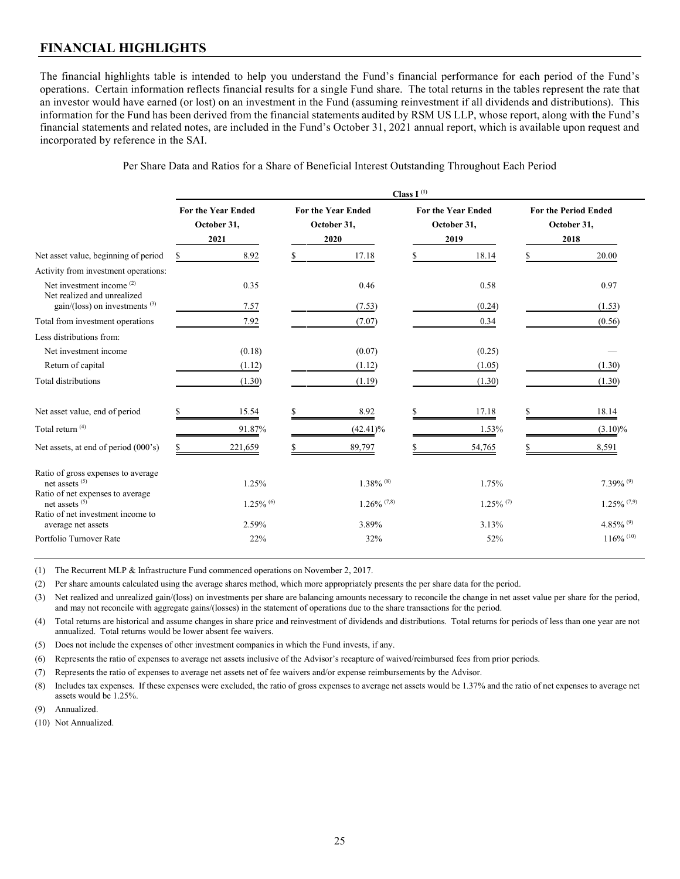# **FINANCIAL HIGHLIGHTS**

The financial highlights table is intended to help you understand the Fund's financial performance for each period of the Fund's operations. Certain information reflects financial results for a single Fund share. The total returns in the tables represent the rate that an investor would have earned (or lost) on an investment in the Fund (assuming reinvestment if all dividends and distributions). This information for the Fund has been derived from the financial statements audited by RSM US LLP, whose report, along with the Fund's financial statements and related notes, are included in the Fund's October 31, 2021 annual report, which is available upon request and incorporated by reference in the SAI.

| Per Share Data and Ratios for a Share of Beneficial Interest Outstanding Throughout Each Period |  |  |  |
|-------------------------------------------------------------------------------------------------|--|--|--|
|-------------------------------------------------------------------------------------------------|--|--|--|

| Class $I^{(1)}$ |                         |                                                  |                         |                                                  |                |                                                  |                                                    |
|-----------------|-------------------------|--------------------------------------------------|-------------------------|--------------------------------------------------|----------------|--------------------------------------------------|----------------------------------------------------|
|                 |                         |                                                  |                         |                                                  |                |                                                  | <b>For the Period Ended</b><br>October 31,<br>2018 |
|                 | 8.92                    |                                                  | 17.18                   |                                                  | 18.14          |                                                  | 20.00                                              |
|                 |                         |                                                  |                         |                                                  |                |                                                  |                                                    |
|                 | 0.35                    |                                                  | 0.46                    |                                                  | 0.58           |                                                  | 0.97                                               |
|                 | 7.57                    |                                                  | (7.53)                  |                                                  | (0.24)         |                                                  | (1.53)                                             |
|                 | 7.92                    |                                                  | (7.07)                  |                                                  | 0.34           |                                                  | (0.56)                                             |
|                 |                         |                                                  |                         |                                                  |                |                                                  |                                                    |
|                 | (0.18)                  |                                                  | (0.07)                  |                                                  | (0.25)         |                                                  |                                                    |
|                 | (1.12)                  |                                                  | (1.12)                  |                                                  | (1.05)         |                                                  | (1.30)                                             |
|                 | (1.30)                  |                                                  | (1.19)                  |                                                  | (1.30)         |                                                  | (1.30)                                             |
|                 | 15.54                   |                                                  | 8.92                    |                                                  | 17.18          |                                                  | 18.14                                              |
|                 | 91.87%                  |                                                  | $(42.41)\%$             |                                                  | 1.53%          |                                                  | $(3.10)\%$                                         |
|                 | 221,659                 |                                                  | 89,797                  |                                                  | 54,765         |                                                  | 8,591                                              |
|                 | 1.25%                   |                                                  | $1.38\%$ <sup>(8)</sup> |                                                  | 1.75%          |                                                  | $7.39\%$ <sup>(9)</sup>                            |
|                 | $1.25\%$ <sup>(6)</sup> |                                                  |                         |                                                  |                |                                                  | $1.25\%$ (7,9)                                     |
|                 | 2.59%                   |                                                  | 3.89%                   |                                                  | 3.13%          |                                                  | 4.85% $^{(9)}$                                     |
|                 | 22%                     |                                                  | 32%                     |                                                  | 52%            |                                                  | $116\%$ <sup>(10)</sup>                            |
|                 |                         | <b>For the Year Ended</b><br>October 31,<br>2021 |                         | <b>For the Year Ended</b><br>October 31,<br>2020 | $1.26\%$ (7,8) | <b>For the Year Ended</b><br>October 31,<br>2019 | $1.25\%$ <sup>(7)</sup>                            |

(1) The Recurrent MLP & Infrastructure Fund commenced operations on November 2, 2017.

(2) Per share amounts calculated using the average shares method, which more appropriately presents the per share data for the period.

(3) Net realized and unrealized gain/(loss) on investments per share are balancing amounts necessary to reconcile the change in net asset value per share for the period, and may not reconcile with aggregate gains/(losses) in the statement of operations due to the share transactions for the period.

(4) Total returns are historical and assume changes in share price and reinvestment of dividends and distributions. Total returns for periods of less than one year are not annualized. Total returns would be lower absent fee waivers.

(5) Does not include the expenses of other investment companies in which the Fund invests, if any.

(6) Represents the ratio of expenses to average net assets inclusive of the Advisor's recapture of waived/reimbursed fees from prior periods.

(7) Represents the ratio of expenses to average net assets net of fee waivers and/or expense reimbursements by the Advisor.

(8) Includes tax expenses. If these expenses were excluded, the ratio of gross expenses to average net assets would be 1.37% and the ratio of net expenses to average net assets would be 1.25%.

(9) Annualized.

(10) Not Annualized.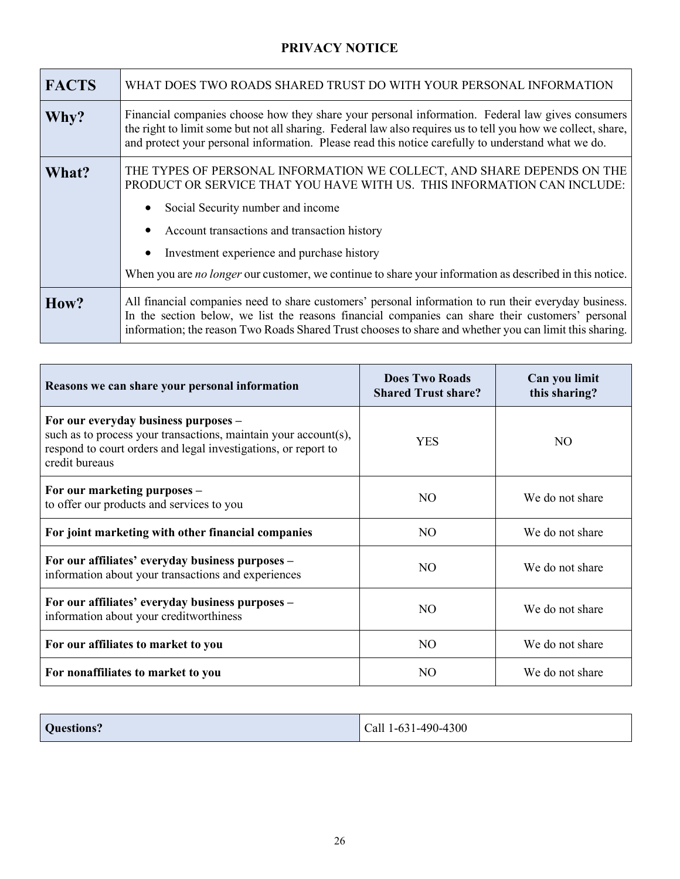# **PRIVACY NOTICE**

| <b>FACTS</b> | WHAT DOES TWO ROADS SHARED TRUST DO WITH YOUR PERSONAL INFORMATION                                                                                                                                                                                                                                                                                                                                                        |
|--------------|---------------------------------------------------------------------------------------------------------------------------------------------------------------------------------------------------------------------------------------------------------------------------------------------------------------------------------------------------------------------------------------------------------------------------|
| Why?         | Financial companies choose how they share your personal information. Federal law gives consumers<br>the right to limit some but not all sharing. Federal law also requires us to tell you how we collect, share,<br>and protect your personal information. Please read this notice carefully to understand what we do.                                                                                                    |
| What?        | THE TYPES OF PERSONAL INFORMATION WE COLLECT, AND SHARE DEPENDS ON THE<br>PRODUCT OR SERVICE THAT YOU HAVE WITH US. THIS INFORMATION CAN INCLUDE:<br>Social Security number and income<br>Account transactions and transaction history<br>$\bullet$<br>Investment experience and purchase history<br>$\bullet$<br>When you are no longer our customer, we continue to share your information as described in this notice. |
| How?         | All financial companies need to share customers' personal information to run their everyday business.<br>In the section below, we list the reasons financial companies can share their customers' personal<br>information; the reason Two Roads Shared Trust chooses to share and whether you can limit this sharing.                                                                                                     |

| Reasons we can share your personal information                                                                                                                                              | <b>Does Two Roads</b><br><b>Shared Trust share?</b> | Can you limit<br>this sharing? |
|---------------------------------------------------------------------------------------------------------------------------------------------------------------------------------------------|-----------------------------------------------------|--------------------------------|
| For our everyday business purposes -<br>such as to process your transactions, maintain your account(s),<br>respond to court orders and legal investigations, or report to<br>credit bureaus | <b>YES</b>                                          | NO                             |
| For our marketing purposes -<br>to offer our products and services to you                                                                                                                   | N <sub>O</sub>                                      | We do not share                |
| For joint marketing with other financial companies                                                                                                                                          | N <sub>O</sub>                                      | We do not share                |
| For our affiliates' everyday business purposes -<br>information about your transactions and experiences                                                                                     | N <sub>O</sub>                                      | We do not share                |
| For our affiliates' everyday business purposes -<br>information about your creditworthiness                                                                                                 | N <sub>O</sub>                                      | We do not share                |
| For our affiliates to market to you                                                                                                                                                         | N <sub>O</sub>                                      | We do not share                |
| For nonaffiliates to market to you                                                                                                                                                          | N <sub>O</sub>                                      | We do not share                |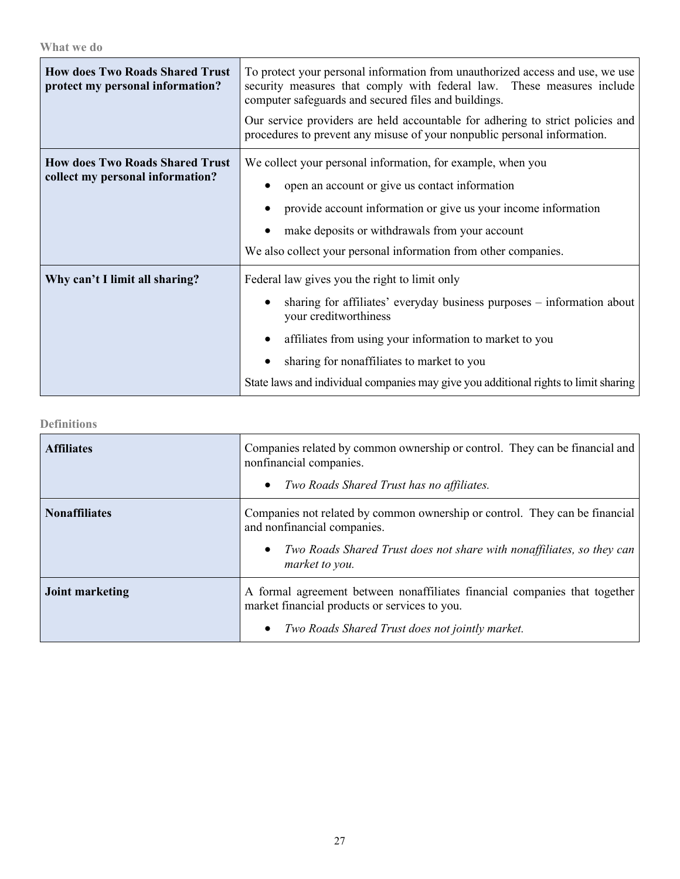| <b>How does Two Roads Shared Trust</b><br>protect my personal information? | To protect your personal information from unauthorized access and use, we use<br>security measures that comply with federal law. These measures include<br>computer safeguards and secured files and buildings.<br>Our service providers are held accountable for adhering to strict policies and<br>procedures to prevent any misuse of your nonpublic personal information. |  |
|----------------------------------------------------------------------------|-------------------------------------------------------------------------------------------------------------------------------------------------------------------------------------------------------------------------------------------------------------------------------------------------------------------------------------------------------------------------------|--|
| <b>How does Two Roads Shared Trust</b><br>collect my personal information? | We collect your personal information, for example, when you<br>open an account or give us contact information<br>provide account information or give us your income information<br>make deposits or withdrawals from your account<br>We also collect your personal information from other companies.                                                                          |  |
| Why can't I limit all sharing?                                             | Federal law gives you the right to limit only<br>sharing for affiliates' everyday business purposes – information about<br>your creditworthiness<br>affiliates from using your information to market to you<br>sharing for nonaffiliates to market to you<br>State laws and individual companies may give you additional rights to limit sharing                              |  |

**Definitions**

| <b>Affiliates</b>      | Companies related by common ownership or control. They can be financial and<br>nonfinancial companies.<br>Two Roads Shared Trust has no affiliates.<br>$\bullet$                                           |
|------------------------|------------------------------------------------------------------------------------------------------------------------------------------------------------------------------------------------------------|
| <b>Nonaffiliates</b>   | Companies not related by common ownership or control. They can be financial<br>and nonfinancial companies.<br>Two Roads Shared Trust does not share with nonaffiliates, so they can<br>٠<br>market to you. |
| <b>Joint marketing</b> | A formal agreement between nonaffiliates financial companies that together<br>market financial products or services to you.<br>Two Roads Shared Trust does not jointly market.<br>٠                        |